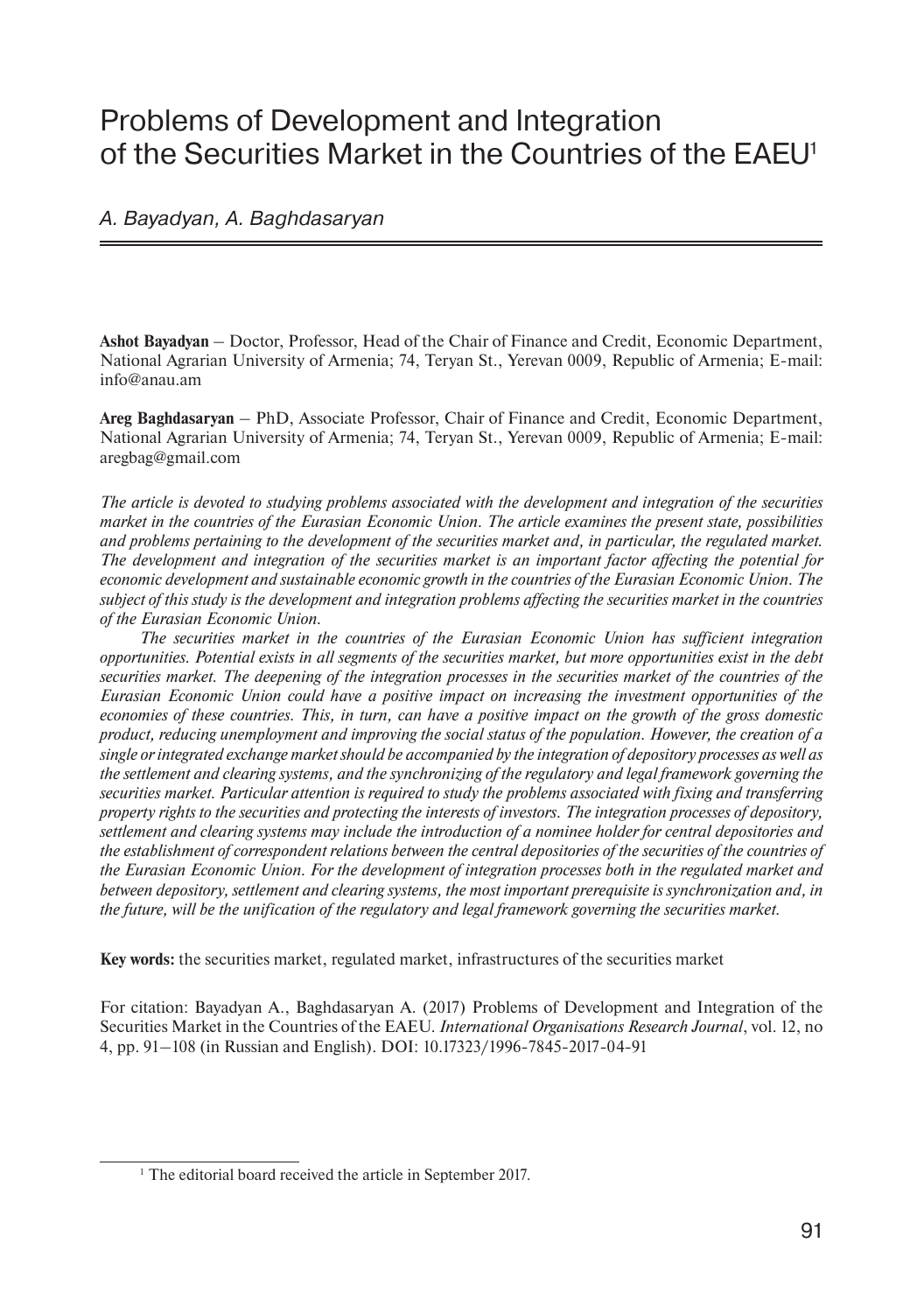# Problems of Development and Integration of the Securities Market in the Countries of the EAEU1

#### A. Bayadyan, A. Baghdasaryan

**Ashot Bayadyan** – Doctor, Professor, Head of the Chair of Finance and Credit, Economic Department, National Agrarian University of Armenia; 74, Teryan St., Yerevan 0009, Republic of Armenia; E-mail: info@anau.am

**Areg Baghdasaryan** – PhD, Associate Professor, Chair of Finance and Credit, Economic Department, National Agrarian University of Armenia; 74, Teryan St., Yerevan 0009, Republic of Armenia; E-mail: aregbag@gmail.com

*The article is devoted to studying problems associated with the development and integration of the securities market in the countries of the Eurasian Economic Union. The article examines the present state, possibilities and problems pertaining to the development of the securities market and, in particular, the regulated market. The development and integration of the securities market is an important factor affecting the potential for economic development and sustainable economic growth in the countries of the Eurasian Economic Union. The subject of this study is the development and integration problems affecting the securities market in the countries of the Eurasian Economic Union.* 

*The securities market in the countries of the Eurasian Economic Union has sufficient integration opportunities. Potential exists in all segments of the securities market, but more opportunities exist in the debt securities market. The deepening of the integration processes in the securities market of the countries of the Eurasian Economic Union could have a positive impact on increasing the investment opportunities of the economies of these countries. This, in turn, can have a positive impact on the growth of the gross domestic product, reducing unemployment and improving the social status of the population. However, the creation of a single or integrated exchange market should be accompanied by the integration of depository processes as well as the settlement and clearing systems, and the synchronizing of the regulatory and legal framework governing the securities market. Particular attention is required to study the problems associated with fixing and transferring property rights to the securities and protecting the interests of investors. The integration processes of depository, settlement and clearing systems may include the introduction of a nominee holder for central depositories and the establishment of correspondent relations between the central depositories of the securities of the countries of the Eurasian Economic Union. For the development of integration processes both in the regulated market and between depository, settlement and clearing systems, the most important prerequisite is synchronization and, in the future, will be the unification of the regulatory and legal framework governing the securities market.*

**Key words:** the securities market, regulated market, infrastructures of the securities market

For citation: Bayadyan A., Baghdasaryan A. (2017) Problems of Development and Integration of the Securities Market in the Countries of the EAEU. *International Organisations Research Journal*, vol. 12, no 4, pp. 91–108 (in Russian and English). DOI: 10.17323/1996-7845-2017-04-91

<sup>&</sup>lt;sup>1</sup> The editorial board received the article in September 2017.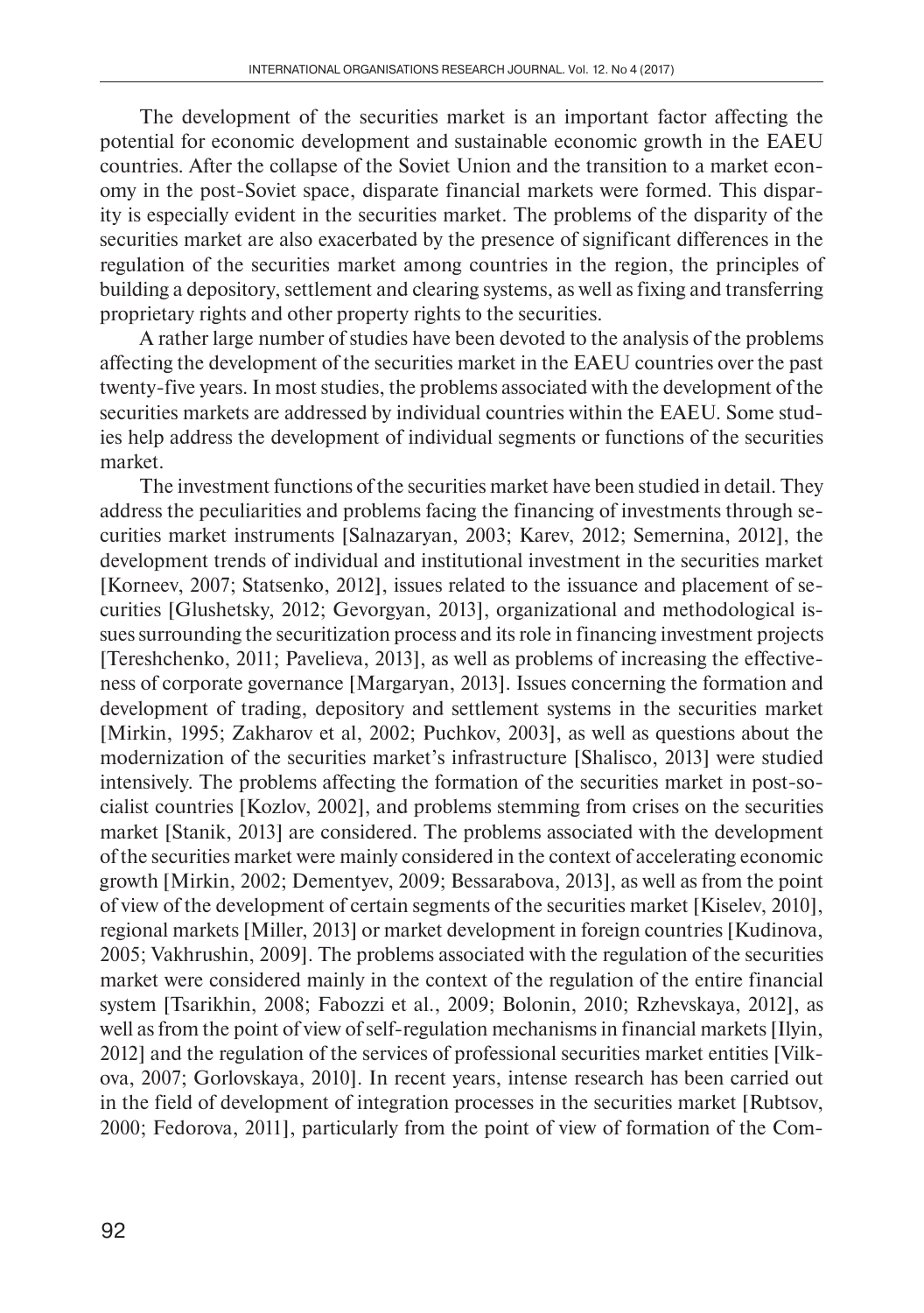The development of the securities market is an important factor affecting the potential for economic development and sustainable economic growth in the EAEU countries. After the collapse of the Soviet Union and the transition to a market economy in the post-Soviet space, disparate financial markets were formed. This disparity is especially evident in the securities market. The problems of the disparity of the securities market are also exacerbated by the presence of significant differences in the regulation of the securities market among countries in the region, the principles of building a depository, settlement and clearing systems, as well as fixing and transferring proprietary rights and other property rights to the securities.

A rather large number of studies have been devoted to the analysis of the problems affecting the development of the securities market in the EAEU countries over the past twenty-five years. In most studies, the problems associated with the development of the securities markets are addressed by individual countries within the EAEU. Some studies help address the development of individual segments or functions of the securities market.

The investment functions of the securities market have been studied in detail. They address the peculiarities and problems facing the financing of investments through securities market instruments [Salnazaryan, 2003; Karev, 2012; Semernina, 2012], the development trends of individual and institutional investment in the securities market [Korneev, 2007; Statsenko, 2012], issues related to the issuance and placement of securities [Glushetsky, 2012; Gevorgyan, 2013], organizational and methodological issues surrounding the securitization process and its role in financing investment projects [Tereshchenko, 2011; Pavelieva, 2013], as well as problems of increasing the effectiveness of corporate governance [Margaryan, 2013]. Issues concerning the formation and development of trading, depository and settlement systems in the securities market [Mirkin, 1995; Zakharov et al, 2002; Puchkov, 2003], as well as questions about the modernization of the securities market's infrastructure [Shalisco, 2013] were studied intensively. The problems affecting the formation of the securities market in post-socialist countries [Kozlov, 2002], and problems stemming from crises on the securities market [Stanik, 2013] are considered. The problems associated with the development of the securities market were mainly considered in the context of accelerating economic growth [Mirkin, 2002; Dementyev, 2009; Bessarabova, 2013], as well as from the point of view of the development of certain segments of the securities market [Kiselev, 2010], regional markets [Miller, 2013] or market development in foreign countries [Kudinova, 2005; Vakhrushin, 2009]. The problems associated with the regulation of the securities market were considered mainly in the context of the regulation of the entire financial system [Tsarikhin, 2008; Fabozzi et al., 2009; Bolonin, 2010; Rzhevskaya, 2012], as well as from the point of view of self-regulation mechanisms in financial markets [Ilyin, 2012] and the regulation of the services of professional securities market entities [Vilkova, 2007; Gorlovskaya, 2010]. In recent years, intense research has been carried out in the field of development of integration processes in the securities market [Rubtsov, 2000; Fedorova, 2011], particularly from the point of view of formation of the Com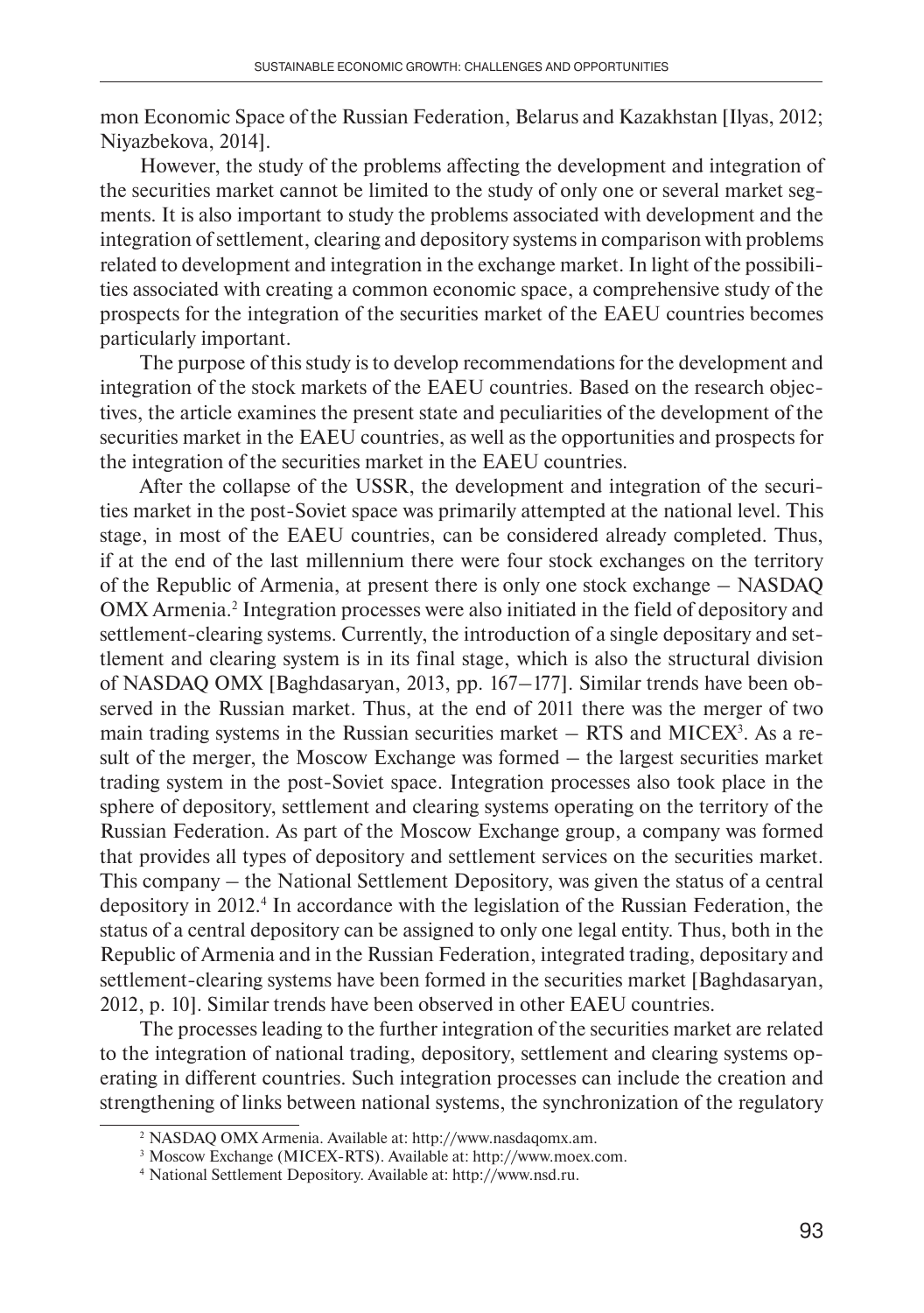mon Economic Space of the Russian Federation, Belarus and Kazakhstan [Ilyas, 2012; Niyazbekova, 2014].

However, the study of the problems affecting the development and integration of the securities market cannot be limited to the study of only one or several market segments. It is also important to study the problems associated with development and the integration of settlement, clearing and depository systems in comparison with problems related to development and integration in the exchange market. In light of the possibilities associated with creating a common economic space, a comprehensive study of the prospects for the integration of the securities market of the EAEU countries becomes particularly important.

The purpose of this study is to develop recommendations for the development and integration of the stock markets of the EAEU countries. Based on the research objectives, the article examines the present state and peculiarities of the development of the securities market in the EAEU countries, as well as the opportunities and prospects for the integration of the securities market in the EAEU countries.

After the collapse of the USSR, the development and integration of the securities market in the post-Soviet space was primarily attempted at the national level. This stage, in most of the EAEU countries, can be considered already completed. Thus, if at the end of the last millennium there were four stock exchanges on the territory of the Republic of Armenia, at present there is only one stock exchange – NASDAQ OMX Armenia.<sup>2</sup> Integration processes were also initiated in the field of depository and settlement-clearing systems. Currently, the introduction of a single depositary and settlement and clearing system is in its final stage, which is also the structural division of NASDAQ OMX [Baghdasaryan, 2013, pp. 167–177]. Similar trends have been observed in the Russian market. Thus, at the end of 2011 there was the merger of two main trading systems in the Russian securities market  $-$  RTS and MICEX<sup>3</sup>. As a result of the merger, the Moscow Exchange was formed – the largest securities market trading system in the post-Soviet space. Integration processes also took place in the sphere of depository, settlement and clearing systems operating on the territory of the Russian Federation. As part of the Moscow Exchange group, a company was formed that provides all types of depository and settlement services on the securities market. This company – the National Settlement Depository, was given the status of a central depository in 2012.4 In accordance with the legislation of the Russian Federation, the status of a central depository can be assigned to only one legal entity. Thus, both in the Republic of Armenia and in the Russian Federation, integrated trading, depositary and settlement-clearing systems have been formed in the securities market [Baghdasaryan, 2012, p. 10]. Similar trends have been observed in other EAEU countries.

The processes leading to the further integration of the securities market are related to the integration of national trading, depository, settlement and clearing systems operating in different countries. Such integration processes can include the creation and strengthening of links between national systems, the synchronization of the regulatory

<sup>2</sup> NASDAQ OMX Armenia. Available at: http://www.nasdaqomx.am.

<sup>3</sup> Moscow Exchange (МICEX-RTS). Available at: http://www.moex.com.

<sup>4</sup> National Settlement Depository. Available at: http://www.nsd.ru.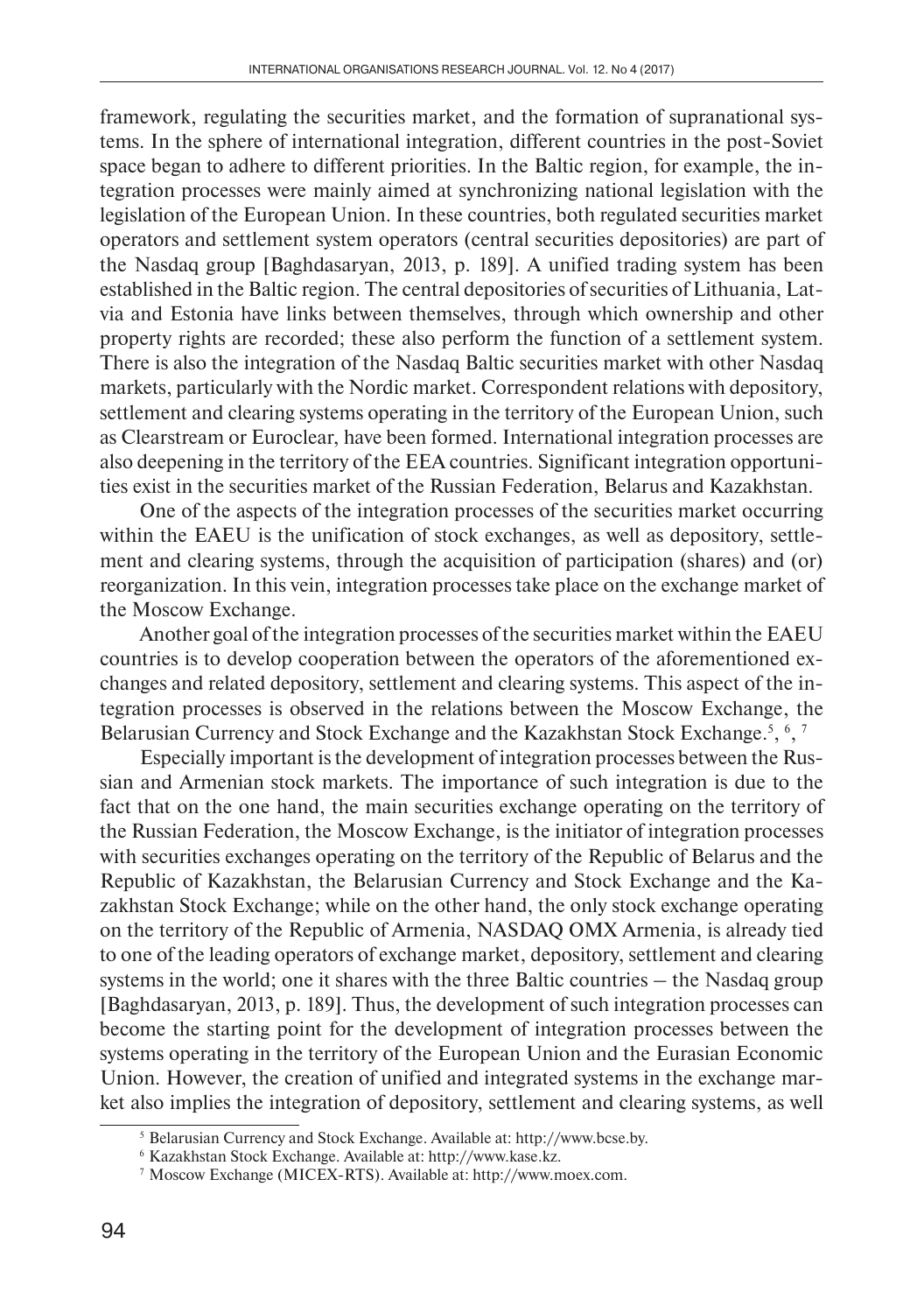framework, regulating the securities market, and the formation of supranational systems. In the sphere of international integration, different countries in the post-Soviet space began to adhere to different priorities. In the Baltic region, for example, the integration processes were mainly aimed at synchronizing national legislation with the legislation of the European Union. In these countries, both regulated securities market operators and settlement system operators (central securities depositories) are part of the Nasdaq group [Baghdasaryan, 2013, p. 189]. A unified trading system has been established in the Baltic region. The central depositories of securities of Lithuania, Latvia and Estonia have links between themselves, through which ownership and other property rights are recorded; these also perform the function of a settlement system. There is also the integration of the Nasdaq Baltic securities market with other Nasdaq markets, particularly with the Nordic market. Correspondent relations with depository, settlement and clearing systems operating in the territory of the European Union, such as Clearstream or Euroclear, have been formed. International integration processes are also deepening in the territory of the EEA countries. Significant integration opportunities exist in the securities market of the Russian Federation, Belarus and Kazakhstan.

One of the aspects of the integration processes of the securities market occurring within the EAEU is the unification of stock exchanges, as well as depository, settlement and clearing systems, through the acquisition of participation (shares) and (or) reorganization. In this vein, integration processes take place on the exchange market of the Moscow Exchange.

Another goal of the integration processes of the securities market within the EAEU countries is to develop cooperation between the operators of the aforementioned exchanges and related depository, settlement and clearing systems. This aspect of the integration processes is observed in the relations between the Moscow Exchange, the Belarusian Currency and Stock Exchange and the Kazakhstan Stock Exchange.<sup>5</sup>, <sup>6</sup>, <sup>7</sup>

Especially important is the development of integration processes between the Russian and Armenian stock markets. The importance of such integration is due to the fact that on the one hand, the main securities exchange operating on the territory of the Russian Federation, the Moscow Exchange, is the initiator of integration processes with securities exchanges operating on the territory of the Republic of Belarus and the Republic of Kazakhstan, the Belarusian Currency and Stock Exchange and the Kazakhstan Stock Exchange; while on the other hand, the only stock exchange operating on the territory of the Republic of Armenia, NASDAQ OMX Armenia, is already tied to one of the leading operators of exchange market, depository, settlement and clearing systems in the world; one it shares with the three Baltic countries – the Nasdaq group [Baghdasaryan, 2013, p. 189]. Thus, the development of such integration processes can become the starting point for the development of integration processes between the systems operating in the territory of the European Union and the Eurasian Economic Union. However, the creation of unified and integrated systems in the exchange market also implies the integration of depository, settlement and clearing systems, as well

<sup>5</sup> Belarusian Currency and Stock Exchange. Available at: http://www.bcse.by.

<sup>6</sup> Kazakhstan Stock Exchange. Available at: http://www.kase.kz.

<sup>7</sup> Moscow Exchange (МICEX-RTS). Available at: http://www.moex.com.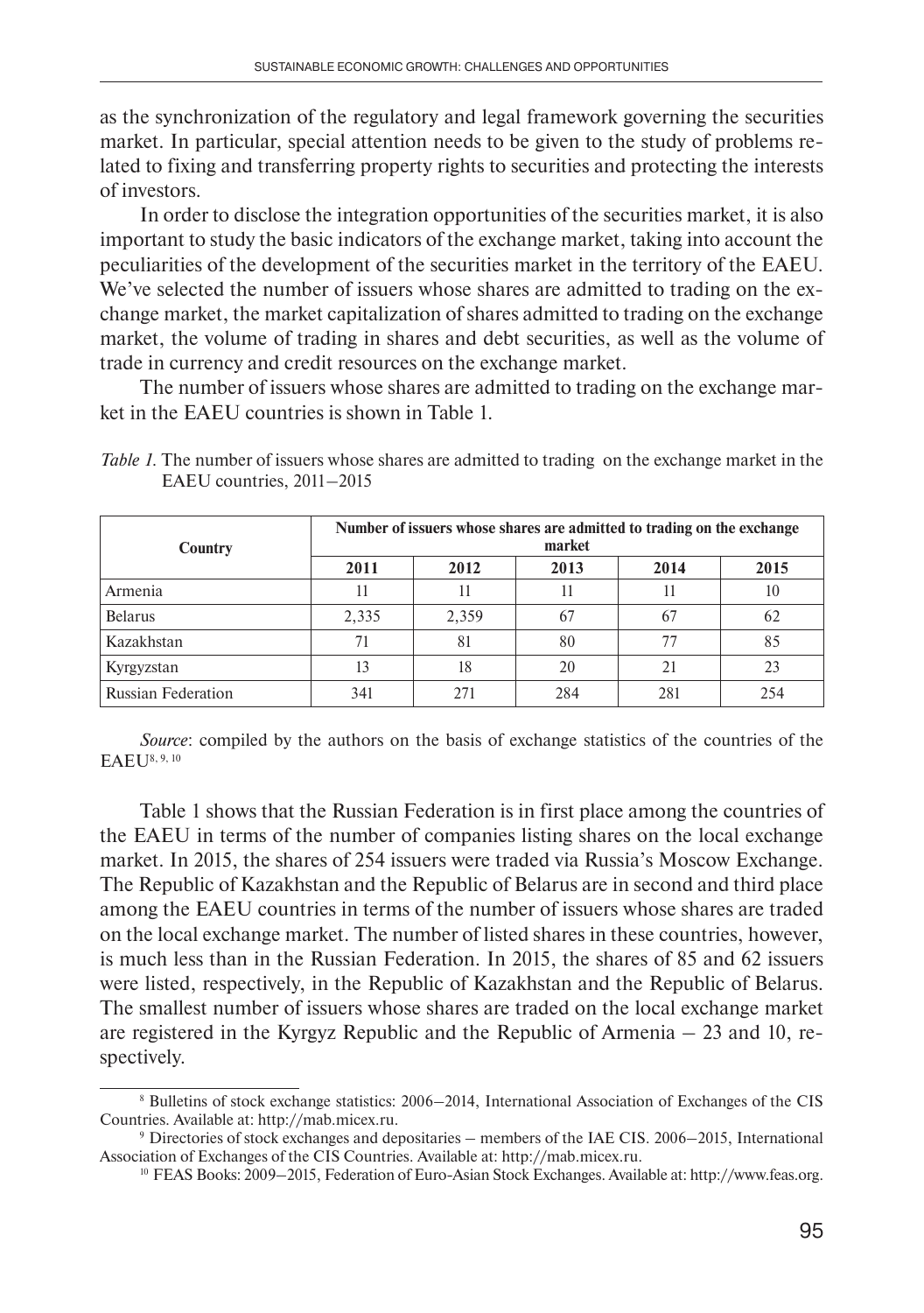as the synchronization of the regulatory and legal framework governing the securities market. In particular, special attention needs to be given to the study of problems related to fixing and transferring property rights to securities and protecting the interests of investors.

In order to disclose the integration opportunities of the securities market, it is also important to study the basic indicators of the exchange market, taking into account the peculiarities of the development of the securities market in the territory of the EAEU. We've selected the number of issuers whose shares are admitted to trading on the exchange market, the market capitalization of shares admitted to trading on the exchange market, the volume of trading in shares and debt securities, as well as the volume of trade in currency and credit resources on the exchange market.

The number of issuers whose shares are admitted to trading on the exchange market in the EAEU countries is shown in Table 1.

| Country                   | Number of issuers whose shares are admitted to trading on the exchange<br>market |       |      |      |      |  |
|---------------------------|----------------------------------------------------------------------------------|-------|------|------|------|--|
|                           | 2011                                                                             | 2012  | 2013 | 2014 | 2015 |  |
| Armenia                   | 11                                                                               |       | 11   |      | 10   |  |
| <b>Belarus</b>            | 2,335                                                                            | 2,359 | 67   | 67   | 62   |  |
| Kazakhstan                | 71                                                                               | 81    | 80   | 77   | 85   |  |
| Kyrgyzstan                | 13                                                                               | 18    | 20   | 21   | 23   |  |
| <b>Russian Federation</b> | 341                                                                              | 271   | 284  | 281  | 254  |  |

*Table 1*. The number of issuers whose shares are admitted to trading on the exchange market in the EAEU countries, 2011–2015

*Source*: compiled by the authors on the basis of exchange statistics of the countries of the EAEU8, 9, 10

Table 1 shows that the Russian Federation is in first place among the countries of the EAEU in terms of the number of companies listing shares on the local exchange market. In 2015, the shares of 254 issuers were traded via Russia's Moscow Exchange. The Republic of Kazakhstan and the Republic of Belarus are in second and third place among the EAEU countries in terms of the number of issuers whose shares are traded on the local exchange market. The number of listed shares in these countries, however, is much less than in the Russian Federation. In 2015, the shares of 85 and 62 issuers were listed, respectively, in the Republic of Kazakhstan and the Republic of Belarus. The smallest number of issuers whose shares are traded on the local exchange market are registered in the Kyrgyz Republic and the Republic of Armenia – 23 and 10, respectively.

<sup>8</sup> Bulletins of stock exchange statistics: 2006–2014, International Association of Exchanges of the CIS Countries. Available at: http://mab.micex.ru.

<sup>9</sup> Directories of stock exchanges and depositaries – members of the IAE CIS. 2006–2015, International Association of Exchanges of the CIS Countries. Available at: http://mab.micex.ru.

<sup>10</sup> FEAS Books: 2009–2015, Federation of Euro-Asian Stock Exchanges. Available at: http://www.feas.org.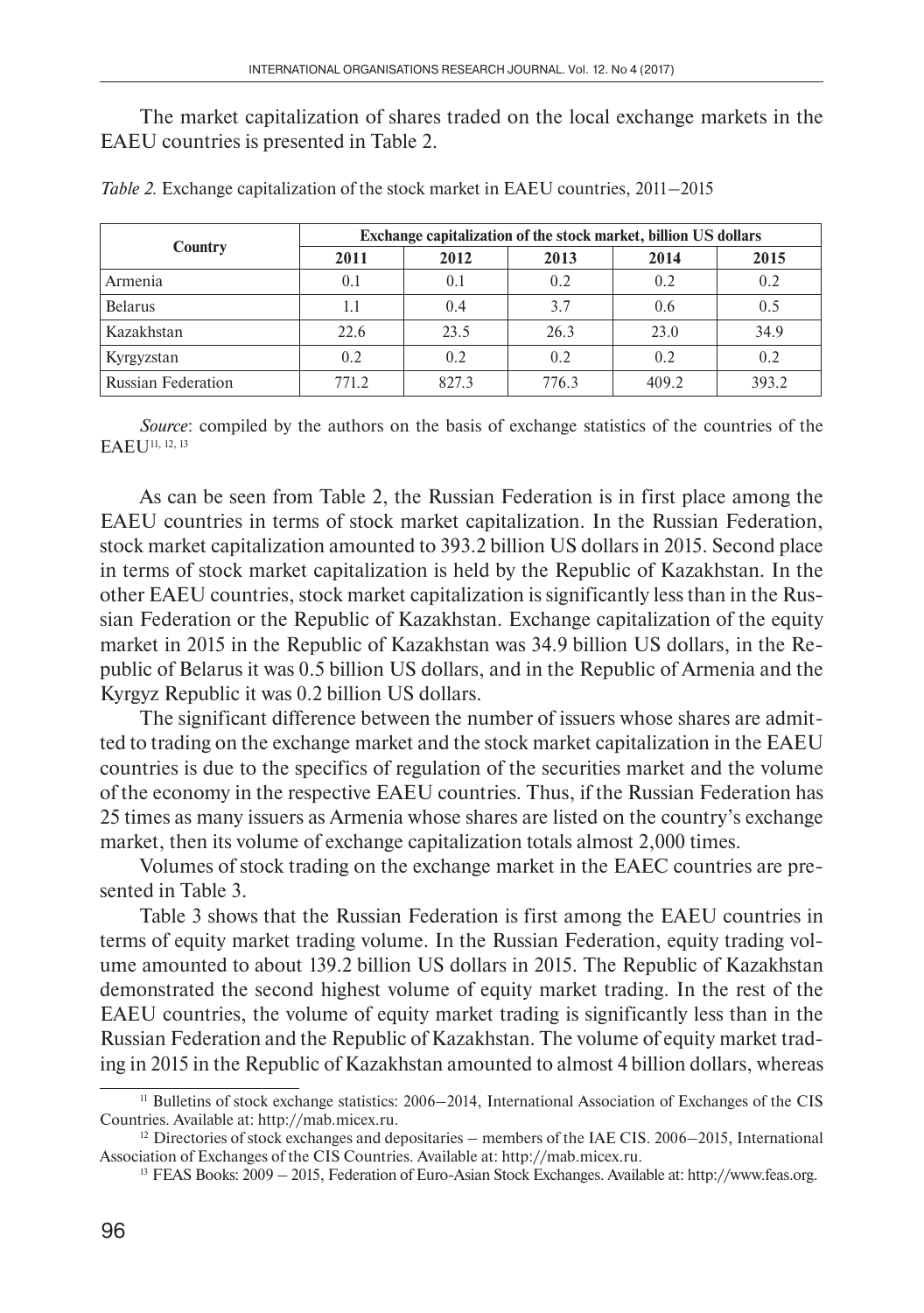The market capitalization of shares traded on the local exchange markets in the EAEU countries is presented in Table 2.

| <b>Country</b>            | Exchange capitalization of the stock market, billion US dollars |       |       |       |       |  |  |
|---------------------------|-----------------------------------------------------------------|-------|-------|-------|-------|--|--|
|                           | 2011                                                            | 2012  | 2013  | 2014  | 2015  |  |  |
| Armenia                   | 0.1                                                             | 0.1   | 0.2   | 0.2   | 0.2   |  |  |
| <b>Belarus</b>            | 1.1                                                             | 0.4   | 3.7   | 0.6   | 0.5   |  |  |
| Kazakhstan                | 22.6                                                            | 23.5  | 26.3  | 23.0  | 34.9  |  |  |
| Kyrgyzstan                | 0.2                                                             | 0.2   | 0.2   | 0.2   | 0.2   |  |  |
| <b>Russian Federation</b> | 771.2                                                           | 827.3 | 776.3 | 409.2 | 393.2 |  |  |

*Table 2.* Exchange capitalization of the stock market in EAEU countries, 2011–2015

*Source*: compiled by the authors on the basis of exchange statistics of the countries of the EAEU<sup>11, 12, 13</sup>

As can be seen from Table 2, the Russian Federation is in first place among the EAEU countries in terms of stock market capitalization. In the Russian Federation, stock market capitalization amounted to 393.2 billion US dollars in 2015. Second place in terms of stock market capitalization is held by the Republic of Kazakhstan. In the other EAEU countries, stock market capitalization is significantly less than in the Russian Federation or the Republic of Kazakhstan. Exchange capitalization of the equity market in 2015 in the Republic of Kazakhstan was 34.9 billion US dollars, in the Republic of Belarus it was 0.5 billion US dollars, and in the Republic of Armenia and the Kyrgyz Republic it was 0.2 billion US dollars.

The significant difference between the number of issuers whose shares are admitted to trading on the exchange market and the stock market capitalization in the EAEU countries is due to the specifics of regulation of the securities market and the volume of the economy in the respective EAEU countries. Thus, if the Russian Federation has 25 times as many issuers as Armenia whose shares are listed on the country's exchange market, then its volume of exchange capitalization totals almost 2,000 times.

Volumes of stock trading on the exchange market in the EAEC countries are presented in Table 3.

Table 3 shows that the Russian Federation is first among the EAEU countries in terms of equity market trading volume. In the Russian Federation, equity trading volume amounted to about 139.2 billion US dollars in 2015. The Republic of Kazakhstan demonstrated the second highest volume of equity market trading. In the rest of the EAEU countries, the volume of equity market trading is significantly less than in the Russian Federation and the Republic of Kazakhstan. The volume of equity market trading in 2015 in the Republic of Kazakhstan amounted to almost 4 billion dollars, whereas

<sup>11</sup> Bulletins of stock exchange statistics: 2006–2014, International Association of Exchanges of the CIS Countries. Available at: http://mab.micex.ru.

 $12$  Directories of stock exchanges and depositaries – members of the IAE CIS. 2006–2015, International Association of Exchanges of the CIS Countries. Available at: http://mab.micex.ru.

<sup>13</sup> FEAS Books: 2009 – 2015, Federation of Euro-Asian Stock Exchanges. Available at: http://www.feas.org.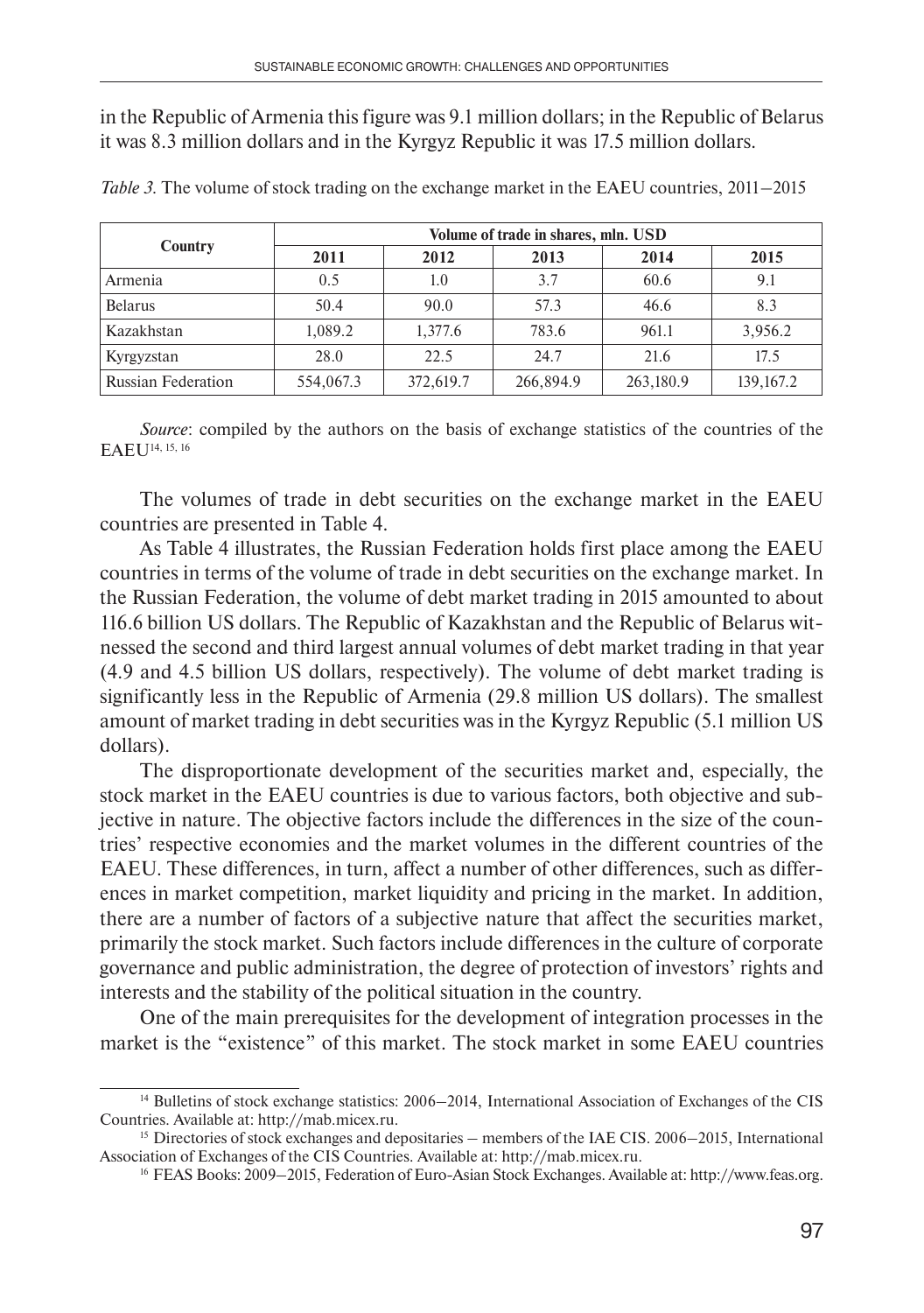in the Republic of Armenia this figure was 9.1 million dollars; in the Republic of Belarus it was 8.3 million dollars and in the Kyrgyz Republic it was 17.5 million dollars.

|                           | Volume of trade in shares, mln. USD |           |           |           |           |  |  |
|---------------------------|-------------------------------------|-----------|-----------|-----------|-----------|--|--|
| Country                   | 2011                                | 2012      | 2013      | 2014      | 2015      |  |  |
| Armenia                   | 0.5                                 | 1.0       | 3.7       | 60.6      | 9.1       |  |  |
| <b>Belarus</b>            | 50.4                                | 90.0      | 57.3      | 46.6      | 8.3       |  |  |
| Kazakhstan                | 1.089.2                             | 1.377.6   | 783.6     | 961.1     | 3,956.2   |  |  |
| Kyrgyzstan                | 28.0                                | 22.5      | 24.7      | 21.6      | 17.5      |  |  |
| <b>Russian Federation</b> | 554,067.3                           | 372,619.7 | 266,894.9 | 263,180.9 | 139,167.2 |  |  |

*Table 3.* The volume of stock trading on the exchange market in the EAEU countries, 2011–2015

*Source*: compiled by the authors on the basis of exchange statistics of the countries of the EAEU14, 15, 16

The volumes of trade in debt securities on the exchange market in the EAEU countries are presented in Table 4.

As Table 4 illustrates, the Russian Federation holds first place among the EAEU countries in terms of the volume of trade in debt securities on the exchange market. In the Russian Federation, the volume of debt market trading in 2015 amounted to about 116.6 billion US dollars. The Republic of Kazakhstan and the Republic of Belarus witnessed the second and third largest annual volumes of debt market trading in that year (4.9 and 4.5 billion US dollars, respectively). The volume of debt market trading is significantly less in the Republic of Armenia (29.8 million US dollars). The smallest amount of market trading in debt securities was in the Kyrgyz Republic (5.1 million US dollars).

The disproportionate development of the securities market and, especially, the stock market in the EAEU countries is due to various factors, both objective and subjective in nature. The objective factors include the differences in the size of the countries' respective economies and the market volumes in the different countries of the EAEU. These differences, in turn, affect a number of other differences, such as differences in market competition, market liquidity and pricing in the market. In addition, there are a number of factors of a subjective nature that affect the securities market, primarily the stock market. Such factors include differences in the culture of corporate governance and public administration, the degree of protection of investors' rights and interests and the stability of the political situation in the country.

One of the main prerequisites for the development of integration processes in the market is the "existence" of this market. The stock market in some EAEU countries

<sup>&</sup>lt;sup>14</sup> Bulletins of stock exchange statistics: 2006–2014, International Association of Exchanges of the CIS Countries. Available at: http://mab.micex.ru.

<sup>&</sup>lt;sup>15</sup> Directories of stock exchanges and depositaries – members of the IAE CIS. 2006–2015, International Association of Exchanges of the CIS Countries. Available at: http://mab.micex.ru.

<sup>16</sup> FEAS Books: 2009–2015, Federation of Euro-Asian Stock Exchanges. Available at: http://www.feas.org.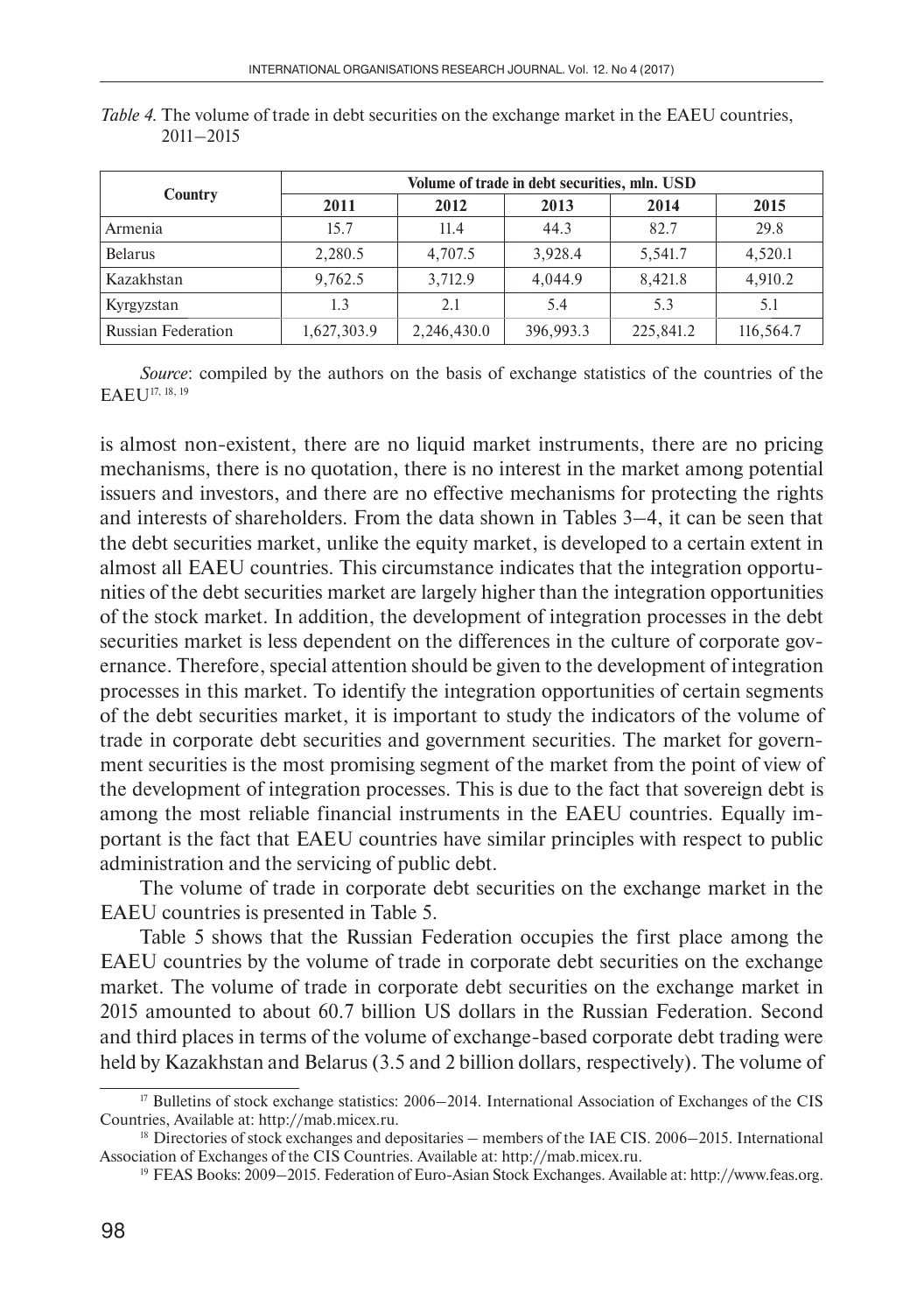|                           | Volume of trade in debt securities, mln. USD |             |           |           |           |  |  |
|---------------------------|----------------------------------------------|-------------|-----------|-----------|-----------|--|--|
| Country                   | 2011                                         | 2012        | 2013      | 2014      | 2015      |  |  |
| Armenia                   | 15.7                                         | 11.4        | 44.3      | 82.7      | 29.8      |  |  |
| <b>Belarus</b>            | 2,280.5                                      | 4,707.5     | 3.928.4   | 5,541.7   | 4,520.1   |  |  |
| Kazakhstan                | 9,762.5                                      | 3,712.9     | 4.044.9   | 8,421.8   | 4,910.2   |  |  |
| Kyrgyzstan                | 1.3                                          | 2.1         | 5.4       | 5.3       | 5.1       |  |  |
| <b>Russian Federation</b> | 1,627,303.9                                  | 2,246,430.0 | 396,993.3 | 225,841.2 | 116,564.7 |  |  |

*Table 4.* The volume of trade in debt securities on the exchange market in the EAEU countries, 2011–2015

*Source*: compiled by the authors on the basis of exchange statistics of the countries of the EAEU17, 18, 19

is almost non-existent, there are no liquid market instruments, there are no pricing mechanisms, there is no quotation, there is no interest in the market among potential issuers and investors, and there are no effective mechanisms for protecting the rights and interests of shareholders. From the data shown in Tables 3–4, it can be seen that the debt securities market, unlike the equity market, is developed to a certain extent in almost all EAEU countries. This circumstance indicates that the integration opportunities of the debt securities market are largely higher than the integration opportunities of the stock market. In addition, the development of integration processes in the debt securities market is less dependent on the differences in the culture of corporate governance. Therefore, special attention should be given to the development of integration processes in this market. To identify the integration opportunities of certain segments of the debt securities market, it is important to study the indicators of the volume of trade in corporate debt securities and government securities. The market for government securities is the most promising segment of the market from the point of view of the development of integration processes. This is due to the fact that sovereign debt is among the most reliable financial instruments in the EAEU countries. Equally important is the fact that EAEU countries have similar principles with respect to public administration and the servicing of public debt.

The volume of trade in corporate debt securities on the exchange market in the EAEU countries is presented in Table 5.

Table 5 shows that the Russian Federation occupies the first place among the EAEU countries by the volume of trade in corporate debt securities on the exchange market. The volume of trade in corporate debt securities on the exchange market in 2015 amounted to about 60.7 billion US dollars in the Russian Federation. Second and third places in terms of the volume of exchange-based corporate debt trading were held by Kazakhstan and Belarus (3.5 and 2 billion dollars, respectively). The volume of

<sup>&</sup>lt;sup>17</sup> Bulletins of stock exchange statistics: 2006–2014. International Association of Exchanges of the CIS Countries, Available at: http://mab.micex.ru.

 $18$  Directories of stock exchanges and depositaries – members of the IAE CIS. 2006–2015. International Association of Exchanges of the CIS Countries. Available at: http://mab.micex.ru.

<sup>19</sup> FEAS Books: 2009–2015. Federation of Euro-Asian Stock Exchanges. Available at: http://www.feas.org.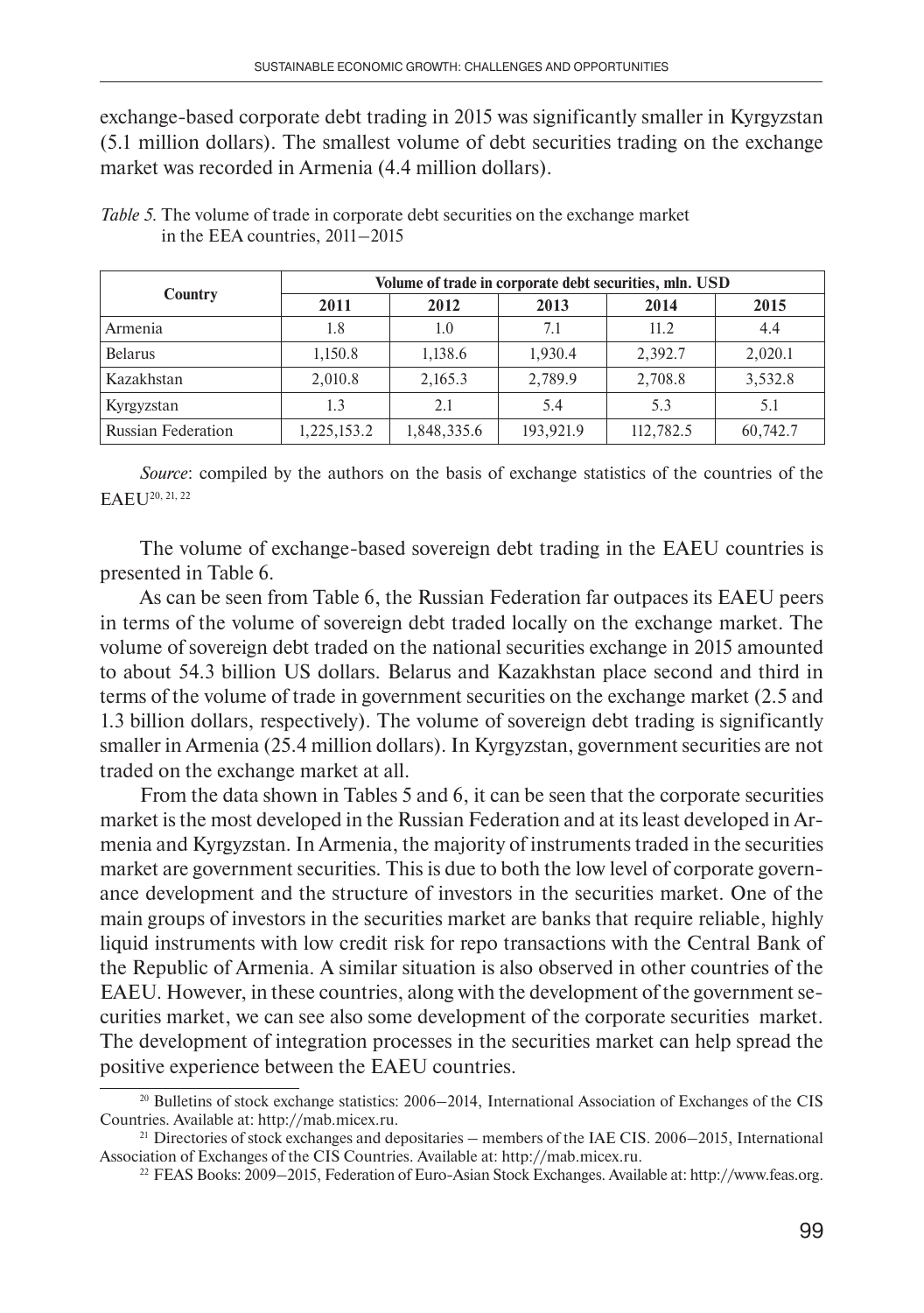exchange-based corporate debt trading in 2015 was significantly smaller in Kyrgyzstan (5.1 million dollars). The smallest volume of debt securities trading on the exchange market was recorded in Armenia (4.4 million dollars).

|                           | Volume of trade in corporate debt securities, mln. USD |             |           |           |          |  |  |
|---------------------------|--------------------------------------------------------|-------------|-----------|-----------|----------|--|--|
| Country                   | 2011                                                   | 2012        | 2013      | 2014      | 2015     |  |  |
| Armenia                   | 1.8                                                    | 1.0         | 7.1       | 11.2      | 4.4      |  |  |
| <b>Belarus</b>            | 1,150.8                                                | 1.138.6     | 1.930.4   | 2,392.7   | 2,020.1  |  |  |
| Kazakhstan                | 2,010.8                                                | 2,165.3     | 2,789.9   | 2,708.8   | 3,532.8  |  |  |
| Kyrgyzstan                | 1.3                                                    | 2.1         | 5.4       | 5.3       | 5.1      |  |  |
| <b>Russian Federation</b> | 1,225,153.2                                            | 1,848,335.6 | 193,921.9 | 112,782.5 | 60,742.7 |  |  |

*Table 5.* The volume of trade in corporate debt securities on the exchange market in the EEA countries, 2011–2015

*Source*: compiled by the authors on the basis of exchange statistics of the countries of the EAEU20, 21, 22

The volume of exchange-based sovereign debt trading in the EAEU countries is presented in Table 6.

As can be seen from Table 6, the Russian Federation far outpaces its EAEU peers in terms of the volume of sovereign debt traded locally on the exchange market. The volume of sovereign debt traded on the national securities exchange in 2015 amounted to about 54.3 billion US dollars. Belarus and Kazakhstan place second and third in terms of the volume of trade in government securities on the exchange market (2.5 and 1.3 billion dollars, respectively). The volume of sovereign debt trading is significantly smaller in Armenia (25.4 million dollars). In Kyrgyzstan, government securities are not traded on the exchange market at all.

From the data shown in Tables 5 and 6, it can be seen that the corporate securities market is the most developed in the Russian Federation and at its least developed in Armenia and Kyrgyzstan. In Armenia, the majority of instruments traded in the securities market are government securities. This is due to both the low level of corporate governance development and the structure of investors in the securities market. One of the main groups of investors in the securities market are banks that require reliable, highly liquid instruments with low credit risk for repo transactions with the Central Bank of the Republic of Armenia. A similar situation is also observed in other countries of the EAEU. However, in these countries, along with the development of the government securities market, we can see also some development of the corporate securities market. The development of integration processes in the securities market can help spread the positive experience between the EAEU countries.

<sup>20</sup> Bulletins of stock exchange statistics: 2006–2014, International Association of Exchanges of the CIS Countries. Available at: http://mab.micex.ru.

<sup>&</sup>lt;sup>21</sup> Directories of stock exchanges and depositaries – members of the IAE CIS. 2006–2015, International Association of Exchanges of the CIS Countries. Available at: http://mab.micex.ru.

<sup>22</sup> FEAS Books: 2009–2015, Federation of Euro-Asian Stock Exchanges. Available at: http://www.feas.org.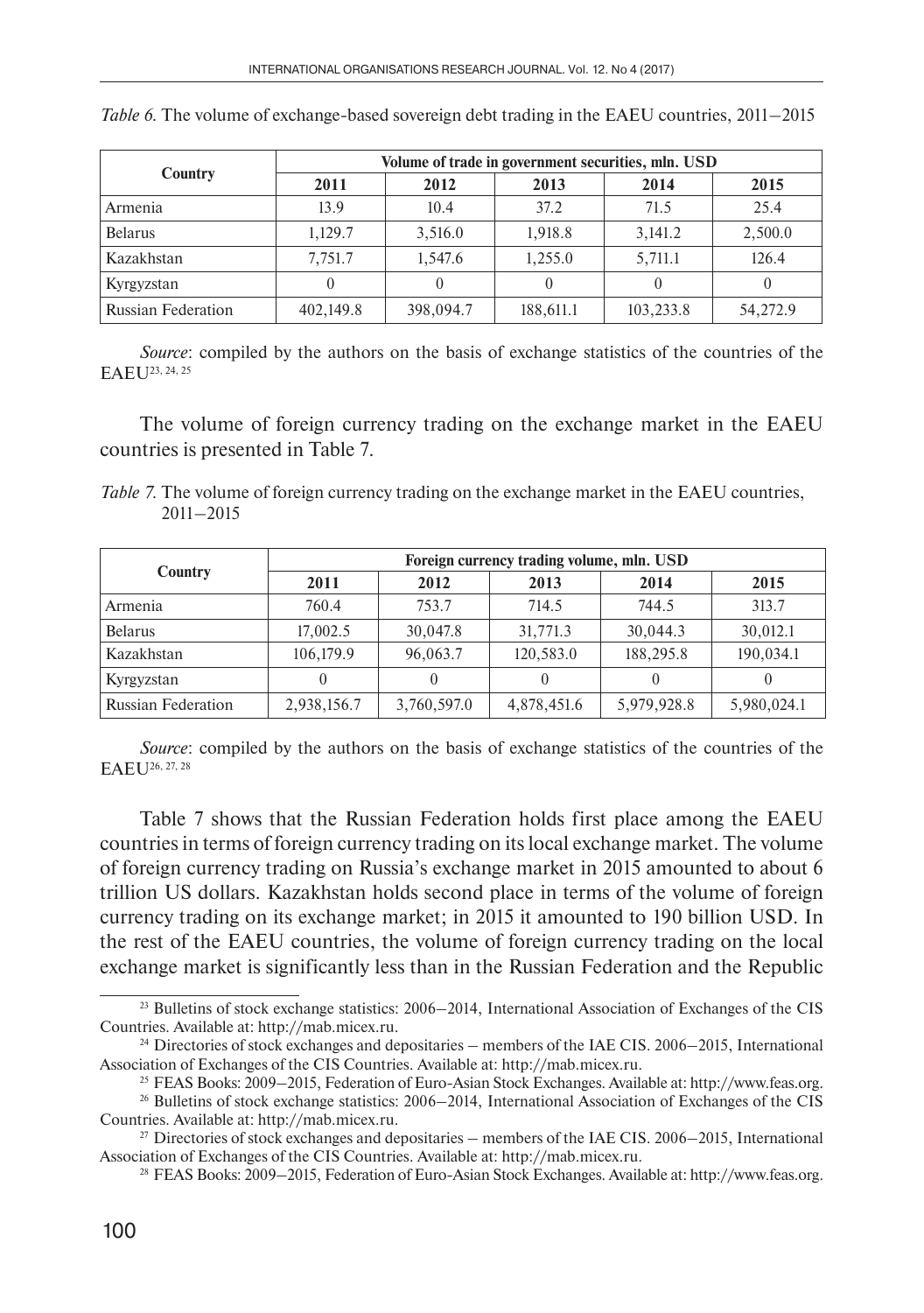|                           | Volume of trade in government securities, mln. USD |           |           |           |          |  |  |
|---------------------------|----------------------------------------------------|-----------|-----------|-----------|----------|--|--|
| Country                   | 2011                                               | 2012      | 2013      | 2014      | 2015     |  |  |
| Armenia                   | 13.9                                               | 10.4      | 37.2      | 71.5      | 25.4     |  |  |
| <b>Belarus</b>            | 1,129.7                                            | 3,516.0   | 1,918.8   | 3,141.2   | 2,500.0  |  |  |
| Kazakhstan                | 7,751.7                                            | 1,547.6   | 1,255.0   | 5,711.1   | 126.4    |  |  |
| Kyrgyzstan                |                                                    |           |           |           |          |  |  |
| <b>Russian Federation</b> | 402,149.8                                          | 398,094.7 | 188,611.1 | 103,233.8 | 54,272.9 |  |  |

*Table 6.* The volume of exchange-based sovereign debt trading in the EAEU countries, 2011–2015

*Source*: compiled by the authors on the basis of exchange statistics of the countries of the EAEU<sup>23</sup>, 24, 25

The volume of foreign currency trading on the exchange market in the EAEU countries is presented in Table 7.

| Table 7. The volume of foreign currency trading on the exchange market in the EAEU countries, |  |  |
|-----------------------------------------------------------------------------------------------|--|--|
| $2011 - 2015$                                                                                 |  |  |

|                           | Foreign currency trading volume, mln. USD |             |             |             |             |  |
|---------------------------|-------------------------------------------|-------------|-------------|-------------|-------------|--|
| Country                   | 2011                                      | 2012        | 2013        | 2014        | 2015        |  |
| Armenia                   | 760.4                                     | 753.7       | 714.5       | 744.5       | 313.7       |  |
| <b>Belarus</b>            | 17,002.5                                  | 30,047.8    | 31,771.3    | 30.044.3    | 30,012.1    |  |
| Kazakhstan                | 106,179.9                                 | 96,063.7    | 120,583.0   | 188,295.8   | 190,034.1   |  |
| Kyrgyzstan                | 0                                         | $\theta$    | $\theta$    |             |             |  |
| <b>Russian Federation</b> | 2,938,156.7                               | 3,760,597.0 | 4,878,451.6 | 5,979,928.8 | 5,980,024.1 |  |

*Source*: compiled by the authors on the basis of exchange statistics of the countries of the EAEU<sup>26, 27, 28</sup>

Table 7 shows that the Russian Federation holds first place among the EAEU countries in terms of foreign currency trading on its local exchange market. The volume of foreign currency trading on Russia's exchange market in 2015 amounted to about 6 trillion US dollars. Kazakhstan holds second place in terms of the volume of foreign currency trading on its exchange market; in 2015 it amounted to 190 billion USD. In the rest of the EAEU countries, the volume of foreign currency trading on the local exchange market is significantly less than in the Russian Federation and the Republic

<sup>23</sup> Bulletins of stock exchange statistics: 2006–2014, International Association of Exchanges of the CIS Countries. Available at: http://mab.micex.ru.

<sup>&</sup>lt;sup>24</sup> Directories of stock exchanges and depositaries – members of the IAE CIS. 2006–2015, International Association of Exchanges of the CIS Countries. Available at: http://mab.micex.ru.

<sup>25</sup> FEAS Books: 2009–2015, Federation of Euro-Asian Stock Exchanges. Available at: http://www.feas.org. 26 Bulletins of stock exchange statistics: 2006–2014, International Association of Exchanges of the CIS Countries. Available at: http://mab.micex.ru.

<sup>&</sup>lt;sup>27</sup> Directories of stock exchanges and depositaries – members of the IAE CIS. 2006–2015, International Association of Exchanges of the CIS Countries. Available at: http://mab.micex.ru.

<sup>28</sup> FEAS Books: 2009–2015, Federation of Euro-Asian Stock Exchanges. Available at: http://www.feas.org.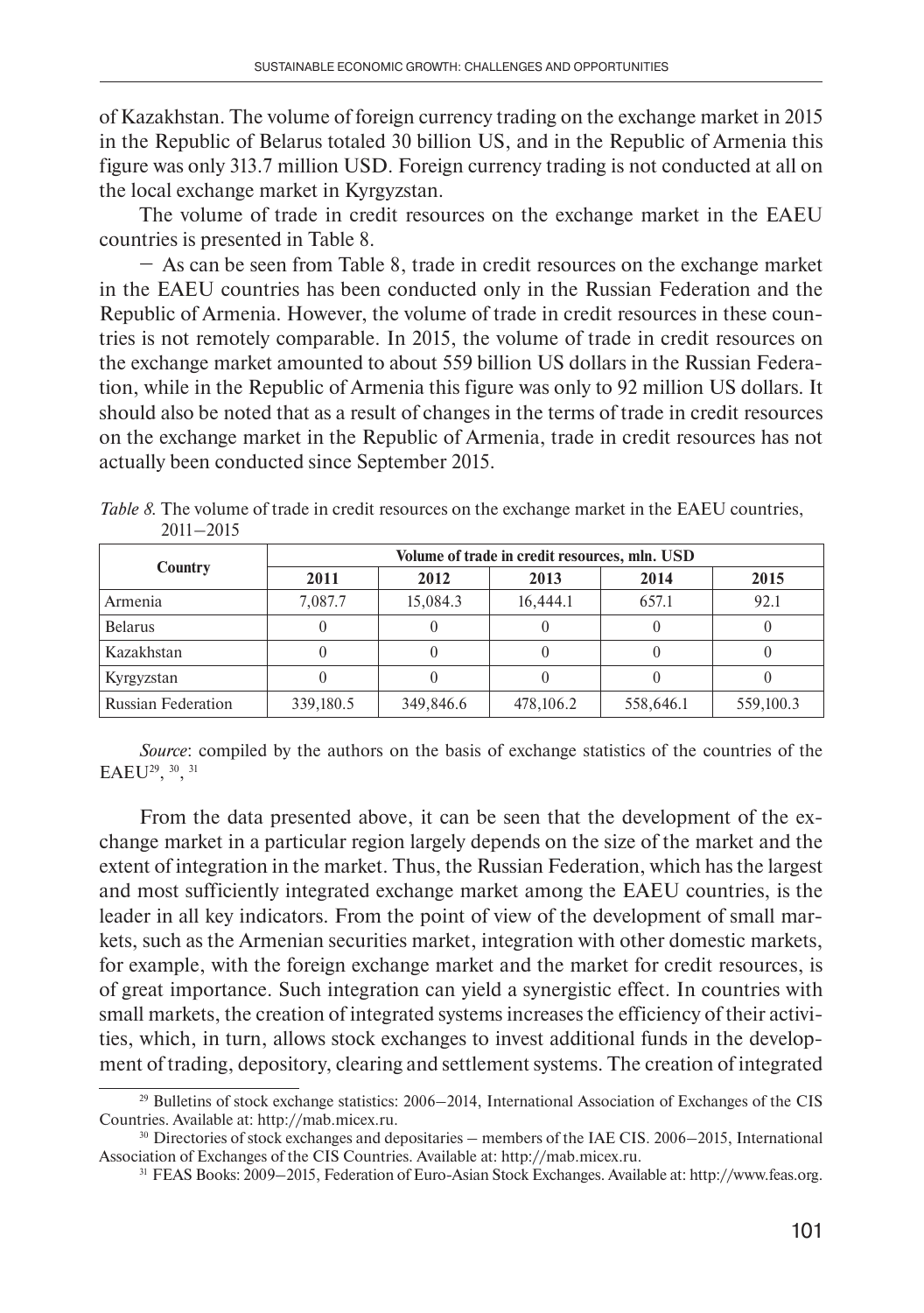of Kazakhstan. The volume of foreign currency trading on the exchange market in 2015 in the Republic of Belarus totaled 30 billion US, and in the Republic of Armenia this figure was only 313.7 million USD. Foreign currency trading is not conducted at all on the local exchange market in Kyrgyzstan.

The volume of trade in credit resources on the exchange market in the EAEU countries is presented in Table 8.

− As can be seen from Table 8, trade in credit resources on the exchange market in the EAEU countries has been conducted only in the Russian Federation and the Republic of Armenia. However, the volume of trade in credit resources in these countries is not remotely comparable. In 2015, the volume of trade in credit resources on the exchange market amounted to about 559 billion US dollars in the Russian Federation, while in the Republic of Armenia this figure was only to 92 million US dollars. It should also be noted that as a result of changes in the terms of trade in credit resources on the exchange market in the Republic of Armenia, trade in credit resources has not actually been conducted since September 2015.

|               | Table 8. The volume of trade in credit resources on the exchange market in the EAEU countries, |  |  |
|---------------|------------------------------------------------------------------------------------------------|--|--|
| $2011 - 2015$ |                                                                                                |  |  |

|                           | Volume of trade in credit resources, mln. USD |           |           |           |           |  |  |
|---------------------------|-----------------------------------------------|-----------|-----------|-----------|-----------|--|--|
| Country                   | 2011                                          | 2012      | 2013      | 2014      | 2015      |  |  |
| Armenia                   | 7.087.7                                       | 15,084.3  | 16,444.1  | 657.1     | 92.1      |  |  |
| <b>Belarus</b>            |                                               | 0         |           |           |           |  |  |
| Kazakhstan                |                                               |           |           |           |           |  |  |
| Kyrgyzstan                |                                               | $\theta$  |           |           |           |  |  |
| <b>Russian Federation</b> | 339,180.5                                     | 349,846.6 | 478,106.2 | 558,646.1 | 559,100.3 |  |  |

*Source*: compiled by the authors on the basis of exchange statistics of the countries of the EAEU29, 30, 31

From the data presented above, it can be seen that the development of the exchange market in a particular region largely depends on the size of the market and the extent of integration in the market. Thus, the Russian Federation, which has the largest and most sufficiently integrated exchange market among the EAEU countries, is the leader in all key indicators. From the point of view of the development of small markets, such as the Armenian securities market, integration with other domestic markets, for example, with the foreign exchange market and the market for credit resources, is of great importance. Such integration can yield a synergistic effect. In countries with small markets, the creation of integrated systems increases the efficiency of their activities, which, in turn, allows stock exchanges to invest additional funds in the development of trading, depository, clearing and settlement systems. The creation of integrated

<sup>29</sup> Bulletins of stock exchange statistics: 2006–2014, International Association of Exchanges of the CIS Countries. Available at: http://mab.micex.ru.

<sup>&</sup>lt;sup>30</sup> Directories of stock exchanges and depositaries – members of the IAE CIS. 2006–2015, International Association of Exchanges of the CIS Countries. Available at: http://mab.micex.ru.

<sup>31</sup> FEAS Books: 2009–2015, Federation of Euro-Asian Stock Exchanges. Available at: http://www.feas.org.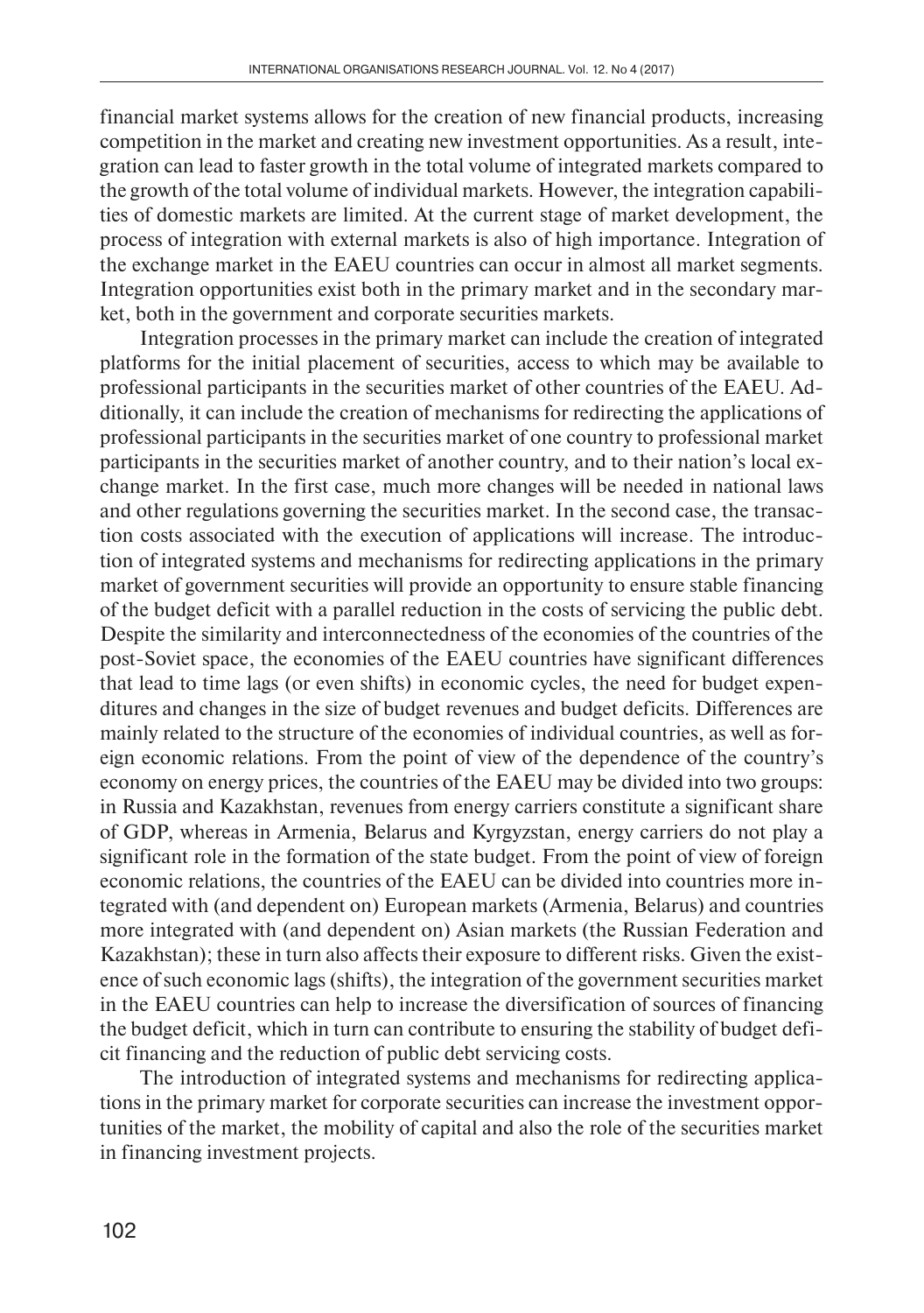financial market systems allows for the creation of new financial products, increasing competition in the market and creating new investment opportunities. As a result, integration can lead to faster growth in the total volume of integrated markets compared to the growth of the total volume of individual markets. However, the integration capabilities of domestic markets are limited. At the current stage of market development, the process of integration with external markets is also of high importance. Integration of the exchange market in the EAEU countries can occur in almost all market segments. Integration opportunities exist both in the primary market and in the secondary market, both in the government and corporate securities markets.

Integration processes in the primary market can include the creation of integrated platforms for the initial placement of securities, access to which may be available to professional participants in the securities market of other countries of the EAEU. Additionally, it can include the creation of mechanisms for redirecting the applications of professional participants in the securities market of one country to professional market participants in the securities market of another country, and to their nation's local exchange market. In the first case, much more changes will be needed in national laws and other regulations governing the securities market. In the second case, the transaction costs associated with the execution of applications will increase. The introduction of integrated systems and mechanisms for redirecting applications in the primary market of government securities will provide an opportunity to ensure stable financing of the budget deficit with a parallel reduction in the costs of servicing the public debt. Despite the similarity and interconnectedness of the economies of the countries of the post-Soviet space, the economies of the EAEU countries have significant differences that lead to time lags (or even shifts) in economic cycles, the need for budget expenditures and changes in the size of budget revenues and budget deficits. Differences are mainly related to the structure of the economies of individual countries, as well as foreign economic relations. From the point of view of the dependence of the country's economy on energy prices, the countries of the EAEU may be divided into two groups: in Russia and Kazakhstan, revenues from energy carriers constitute a significant share of GDP, whereas in Armenia, Belarus and Kyrgyzstan, energy carriers do not play a significant role in the formation of the state budget. From the point of view of foreign economic relations, the countries of the EAEU can be divided into countries more integrated with (and dependent on) European markets (Armenia, Belarus) and countries more integrated with (and dependent on) Asian markets (the Russian Federation and Kazakhstan); these in turn also affects their exposure to different risks. Given the existence of such economic lags (shifts), the integration of the government securities market in the EAEU countries can help to increase the diversification of sources of financing the budget deficit, which in turn can contribute to ensuring the stability of budget deficit financing and the reduction of public debt servicing costs.

The introduction of integrated systems and mechanisms for redirecting applications in the primary market for corporate securities can increase the investment opportunities of the market, the mobility of capital and also the role of the securities market in financing investment projects.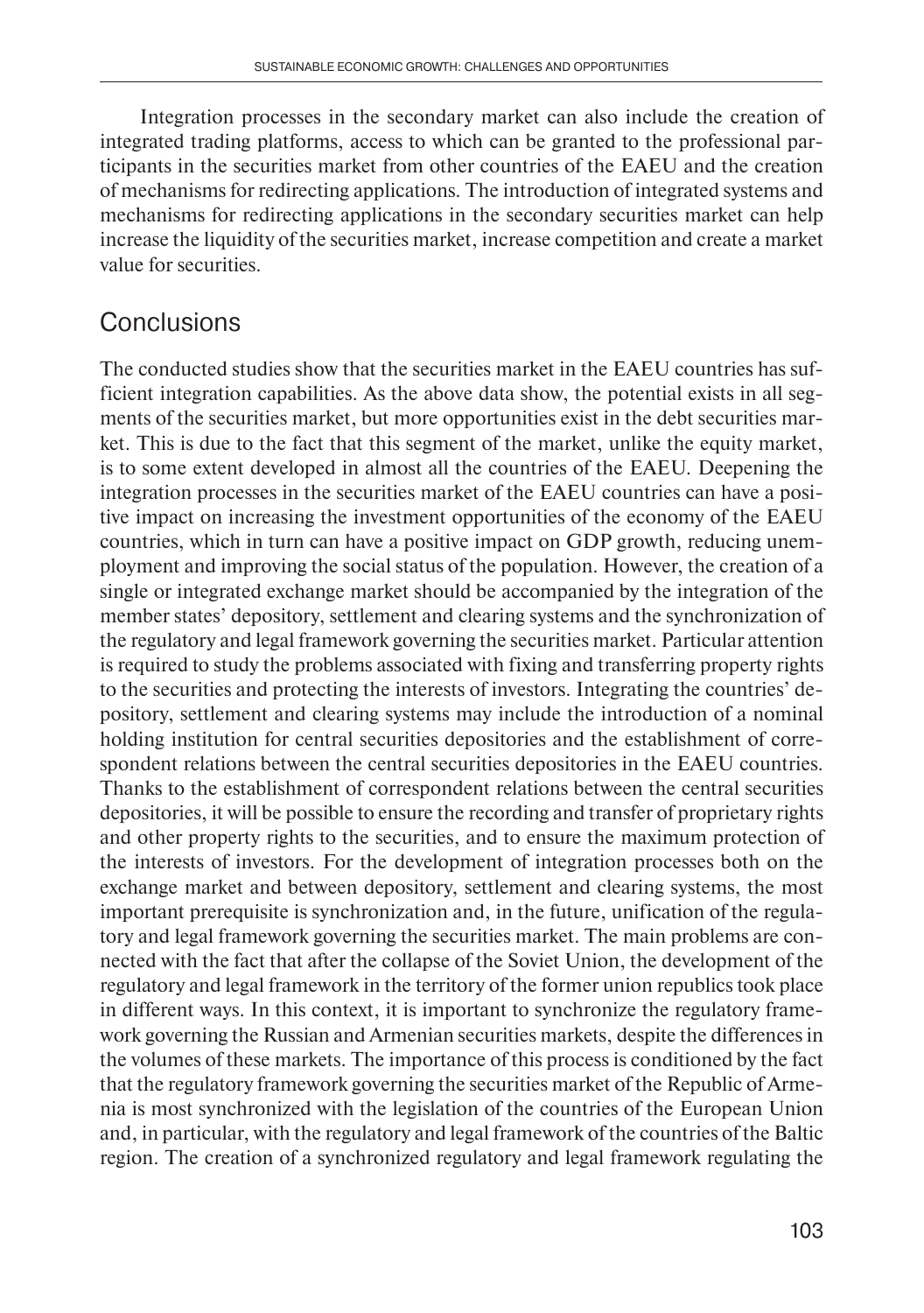Integration processes in the secondary market can also include the creation of integrated trading platforms, access to which can be granted to the professional participants in the securities market from other countries of the EAEU and the creation of mechanisms for redirecting applications. The introduction of integrated systems and mechanisms for redirecting applications in the secondary securities market can help increase the liquidity of the securities market, increase competition and create a market value for securities.

### **Conclusions**

The conducted studies show that the securities market in the EAEU countries has sufficient integration capabilities. As the above data show, the potential exists in all segments of the securities market, but more opportunities exist in the debt securities market. This is due to the fact that this segment of the market, unlike the equity market, is to some extent developed in almost all the countries of the EAEU. Deepening the integration processes in the securities market of the EAEU countries can have a positive impact on increasing the investment opportunities of the economy of the EAEU countries, which in turn can have a positive impact on GDP growth, reducing unemployment and improving the social status of the population. However, the creation of a single or integrated exchange market should be accompanied by the integration of the member states' depository, settlement and clearing systems and the synchronization of the regulatory and legal framework governing the securities market. Particular attention is required to study the problems associated with fixing and transferring property rights to the securities and protecting the interests of investors. Integrating the countries' depository, settlement and clearing systems may include the introduction of a nominal holding institution for central securities depositories and the establishment of correspondent relations between the central securities depositories in the EAEU countries. Thanks to the establishment of correspondent relations between the central securities depositories, it will be possible to ensure the recording and transfer of proprietary rights and other property rights to the securities, and to ensure the maximum protection of the interests of investors. For the development of integration processes both on the exchange market and between depository, settlement and clearing systems, the most important prerequisite is synchronization and, in the future, unification of the regulatory and legal framework governing the securities market. The main problems are connected with the fact that after the collapse of the Soviet Union, the development of the regulatory and legal framework in the territory of the former union republics took place in different ways. In this context, it is important to synchronize the regulatory framework governing the Russian and Armenian securities markets, despite the differences in the volumes of these markets. The importance of this process is conditioned by the fact that the regulatory framework governing the securities market of the Republic of Armenia is most synchronized with the legislation of the countries of the European Union and, in particular, with the regulatory and legal framework of the countries of the Baltic region. The creation of a synchronized regulatory and legal framework regulating the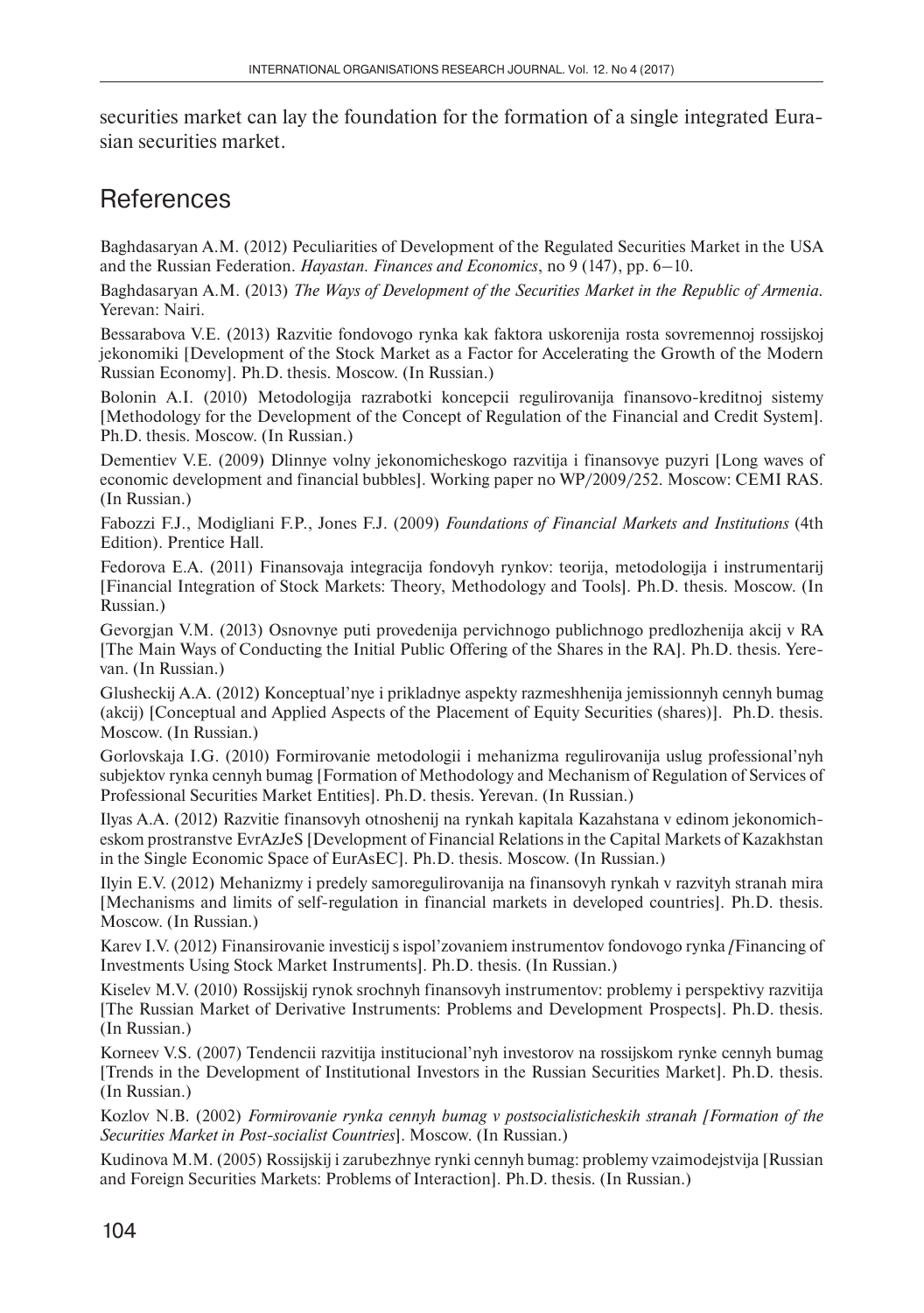securities market can lay the foundation for the formation of a single integrated Eurasian securities market.

## **References**

Baghdasaryan A.M. (2012) Peculiarities of Development of the Regulated Securities Market in the USA and the Russian Federation. *Hayastan. Finances and Economics*, no 9 (147), pp. 6–10.

Baghdasaryan A.M. (2013) *The Ways of Development of the Securities Market in the Republic of Armenia.* Yerevan: Nairi.

Bessarabova V.E. (2013) Razvitie fondovogo rynka kak faktora uskorenija rosta sovremennoj rossijskoj jekonomiki [Development of the Stock Market as a Factor for Accelerating the Growth of the Modern Russian Economy]. Ph.D. thesis. Moscow. (In Russian.)

Bolonin A.I. (2010) Metodologija razrabotki koncepcii regulirovanija finansovo-kreditnoj sistemy [Methodology for the Development of the Concept of Regulation of the Financial and Credit System]. Ph.D. thesis. Moscow. (In Russian.)

Dementiev V.E. (2009) Dlinnye volny jekonomicheskogo razvitija i finansovye puzyri [Long waves of economic development and financial bubbles]. Working paper no WP/2009/252. Moscow: CEMI RAS. (In Russian.)

Fabozzi F.J., Modigliani F.P., Jones F.J. (2009) *Foundations of Financial Markets and Institutions* (4th Edition). Prentice Hall.

Fedorova E.A. (2011) Finansovaja integracija fondovyh rynkov: teorija, metodologija i instrumentarij [Financial Integration of Stock Markets: Theory, Methodology and Tools]. Ph.D. thesis. Moscow. (In Russian.)

Gevorgjan V.M. (2013) Osnovnye puti provedenija pervichnogo publichnogo predlozhenija akcij v RA [The Main Ways of Conducting the Initial Public Offering of the Shares in the RA]. Ph.D. thesis. Yerevan. (In Russian.)

Glusheckij A.A. (2012) Konceptual'nye i prikladnye aspekty razmeshhenija jemissionnyh cennyh bumag (akcij) [Conceptual and Applied Aspects of the Placement of Equity Securities (shares)]. Ph.D. thesis. Moscow. (In Russian.)

Gorlovskaja I.G. (2010) Formirovanie metodologii i mehanizma regulirovanija uslug professional'nyh subjektov rynka cennyh bumag [Formation of Methodology and Mechanism of Regulation of Services of Professional Securities Market Entities]. Ph.D. thesis. Yerevan. (In Russian.)

Ilyas A.A. (2012) Razvitie finansovyh otnoshenij na rynkah kapitala Kazahstana v edinom jekonomicheskom prostranstve EvrAzJeS [Development of Financial Relations in the Capital Markets of Kazakhstan in the Single Economic Space of EurAsEC]. Ph.D. thesis. Moscow. (In Russian.)

Ilyin E.V. (2012) Mehanizmy i predely samoregulirovanija na finansovyh rynkah v razvityh stranah mira [Mechanisms and limits of self-regulation in financial markets in developed countries]. Ph.D. thesis. Moscow. (In Russian.)

Karev I.V. (2012) Finansirovanie investicij s ispol'zovaniem instrumentov fondovogo rynka *[*Financing of Investments Using Stock Market Instruments]. Ph.D. thesis. (In Russian.)

Kiselev M.V. (2010) Rossijskij rynok srochnyh finansovyh instrumentov: problemy i perspektivy razvitija [The Russian Market of Derivative Instruments: Problems and Development Prospects]. Ph.D. thesis. (In Russian.)

Korneev V.S. (2007) Tendencii razvitija institucional'nyh investorov na rossijskom rynke cennyh bumag [Trends in the Development of Institutional Investors in the Russian Securities Market]. Ph.D. thesis. (In Russian.)

Kozlov N.B. (2002) *Formirovanie rynka cennyh bumag v postsocialisticheskih stranah [Formation of the Securities Market in Post-socialist Countries*]. Moscow. (In Russian.)

Kudinova M.M. (2005) Rossijskij i zarubezhnye rynki cennyh bumag: problemy vzaimodejstvija [Russian and Foreign Securities Markets: Problems of Interaction]. Ph.D. thesis. (In Russian.)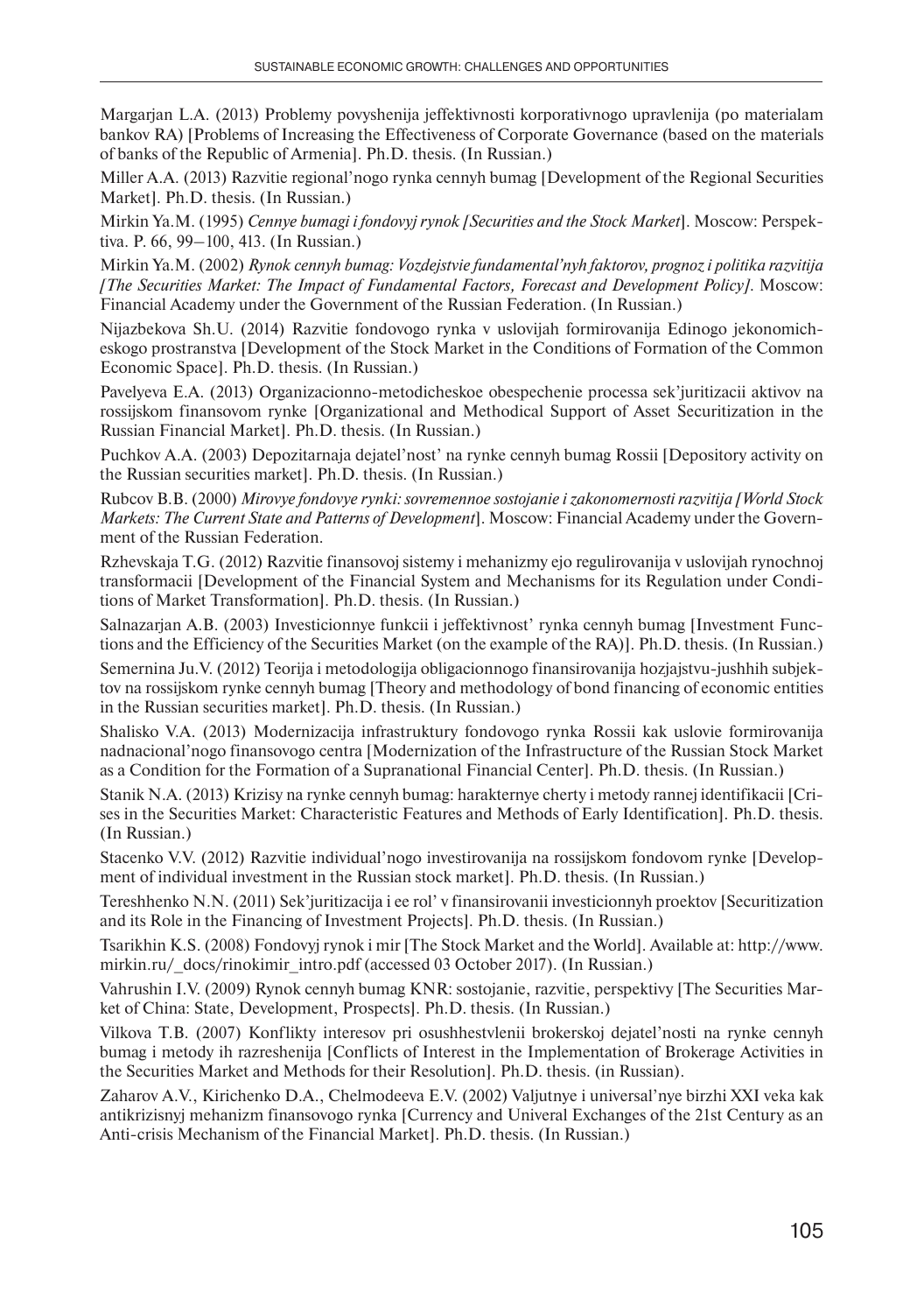Margarjan L.A. (2013) Problemy povyshenija jeffektivnosti korporativnogo upravlenija (po materialam bankov RA) [Problems of Increasing the Effectiveness of Corporate Governance (based on the materials of banks of the Republic of Armenia]. Ph.D. thesis. (In Russian.)

Miller A.A. (2013) Razvitie regional'nogo rynka cennyh bumag [Development of the Regional Securities Market]. Ph.D. thesis. (In Russian.)

Mirkin Ya.M. (1995) *Cennye bumagi i fondovyj rynok [Securities and the Stock Market*]. Moscow: Perspektiva. P. 66, 99–100, 413. (In Russian.)

Mirkin Ya.M. (2002) *Rynok cennyh bumag: Vozdejstvie fundamental'nyh faktorov, prognoz i politika razvitija [The Securities Market: The Impact of Fundamental Factors, Forecast and Development Policy]*. Moscow: Financial Academy under the Government of the Russian Federation. (In Russian.)

Nijazbekova Sh.U. (2014) Razvitie fondovogo rynka v uslovijah formirovanija Edinogo jekonomicheskogo prostranstva [Development of the Stock Market in the Conditions of Formation of the Common Economic Space]. Ph.D. thesis. (In Russian.)

Pavelyeva E.A. (2013) Organizacionno-metodicheskoe obespechenie processa sek'juritizacii aktivov na rossijskom finansovom rynke [Organizational and Methodical Support of Asset Securitization in the Russian Financial Market]. Ph.D. thesis. (In Russian.)

Puchkov A.A. (2003) Depozitarnaja dejatel'nost' na rynke cennyh bumag Rossii [Depository activity on the Russian securities market]. Ph.D. thesis. (In Russian.)

Rubcov B.B. (2000) *Mirovye fondovye rynki: sovremennoe sostojanie i zakonomernosti razvitija [World Stock Markets: The Current State and Patterns of Development*]. Moscow: Financial Academy under the Government of the Russian Federation.

Rzhevskaja T.G. (2012) Razvitie finansovoj sistemy i mehanizmy ejo regulirovanija v uslovijah rynochnoj transformacii [Development of the Financial System and Mechanisms for its Regulation under Conditions of Market Transformation]. Ph.D. thesis. (In Russian.)

Salnazarjan A.B. (2003) Investicionnye funkcii i jeffektivnost' rynka cennyh bumag [Investment Functions and the Efficiency of the Securities Market (on the example of the RA)]. Ph.D. thesis. (In Russian.)

Semernina Ju.V. (2012) Teorija i metodologija obligacionnogo finansirovanija hozjajstvu-jushhih subjektov na rossijskom rynke cennyh bumag [Theory and methodology of bond financing of economic entities in the Russian securities market]. Ph.D. thesis. (In Russian.)

Shalisko V.A. (2013) Modernizacija infrastruktury fondovogo rynka Rossii kak uslovie formirovanija nadnacional'nogo finansovogo centra [Modernization of the Infrastructure of the Russian Stock Market as a Condition for the Formation of a Supranational Financial Center]. Ph.D. thesis. (In Russian.)

Stanik N.A. (2013) Krizisy na rynke cennyh bumag: harakternye cherty i metody rannej identifikacii [Crises in the Securities Market: Characteristic Features and Methods of Early Identification]. Ph.D. thesis. (In Russian.)

Stacenko V.V. (2012) Razvitie individual'nogo investirovanija na rossijskom fondovom rynke [Development of individual investment in the Russian stock market]. Ph.D. thesis. (In Russian.)

Tereshhenko N.N. (2011) Sek'juritizacija i ee rol' v finansirovanii investicionnyh proektov [Securitization and its Role in the Financing of Investment Projects]. Ph.D. thesis. (In Russian.)

Tsarikhin K.S. (2008) Fondovyj rynok i mir [The Stock Market and the World]. Available at: http://www. mirkin.ru/ docs/rinokimir\_intro.pdf (accessed 03 October 2017). (In Russian.)

Vahrushin I.V. (2009) Rynok cennyh bumag KNR: sostojanie, razvitie, perspektivy [The Securities Market of China: State, Development, Prospects]. Ph.D. thesis. (In Russian.)

Vilkova T.B. (2007) Konflikty interesov pri osushhestvlenii brokerskoj dejatel'nosti na rynke cennyh bumag i metody ih razreshenija [Conflicts of Interest in the Implementation of Brokerage Activities in the Securities Market and Methods for their Resolution]. Ph.D. thesis. (in Russian).

Zaharov A.V., Kirichenko D.A., Chelmodeeva E.V. (2002) Valjutnye i universal'nye birzhi XXI veka kak antikrizisnyj mehanizm finansovogo rynka [Currency and Univeral Exchanges of the 21st Century as an Anti-crisis Mechanism of the Financial Market]. Ph.D. thesis. (In Russian.)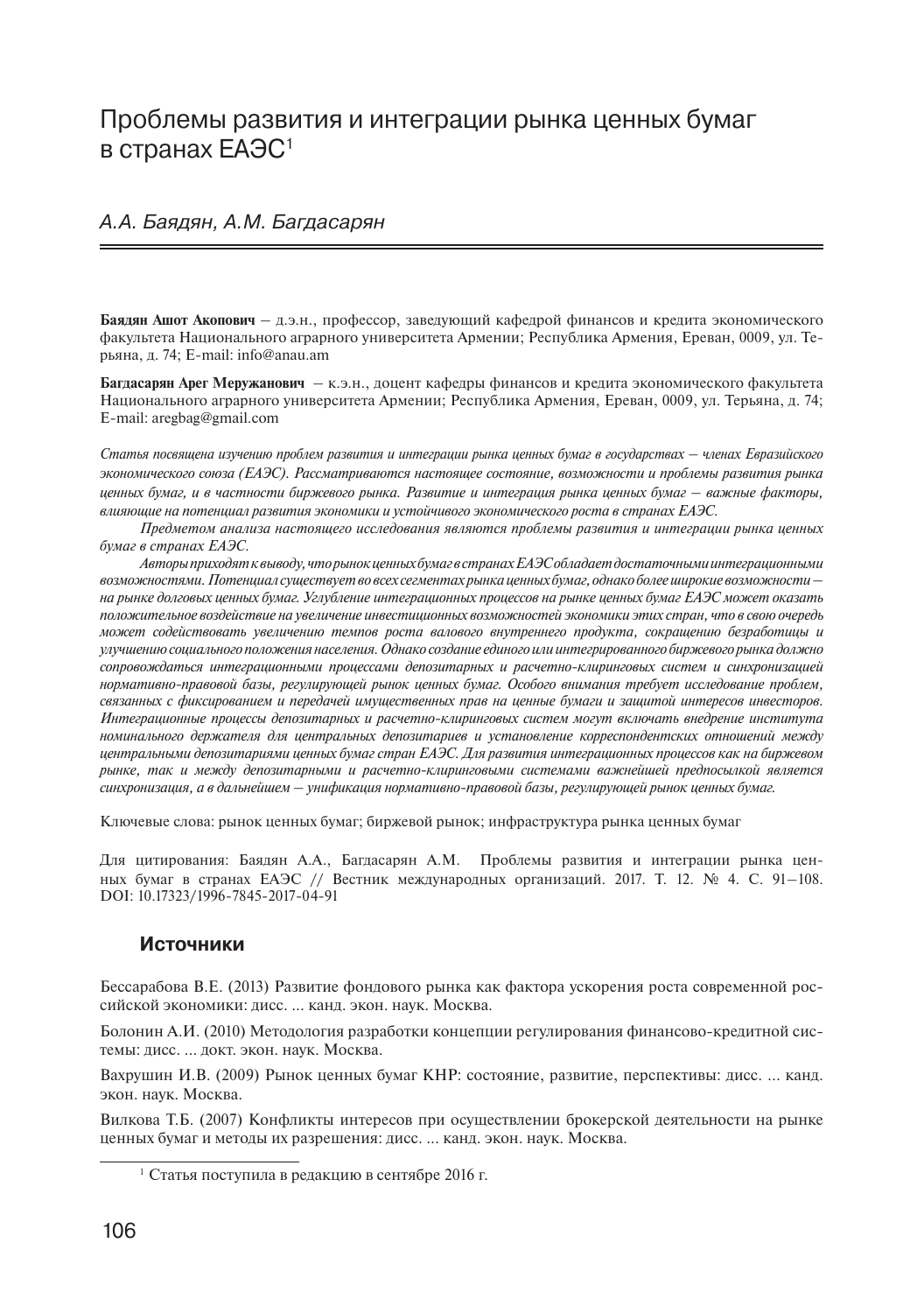### Проблемы развития и интеграции рынка ценных бумаг в странах ЕАЭС<sup>1</sup>

#### А.А. Баядян, А.М. Багдасарян

**Баядян Ашот Акопович** – д.э.н., профессор, заведующий кафедрой финансов и кредита экономического факультета Национального аграрного университета Армении; Республика Армения, Ереван, 0009, ул. Терьяна, д. 74; E-mail: info@anau.am

Багдасарян Арег Меружанович - к.э.н., доцент кафедры финансов и кредита экономического факультета Национального аграрного университета Армении; Республика Армения, Ереван, 0009, ул. Терьяна, д. 74; E-mail: aregbag@gmail.com

*Статья посвящена изучению проблем развития и интеграции рынка ценных бумаг в государствах – членах Евразийского экономического союза (ЕАЭС). Рассматриваются настоящее состояние, возможности и проблемы развития рынка ценных бумаг, и в частности биржевого рынка. Развитие и интеграция рынка ценных бумаг – важные факторы, влияющие на потенциал развития экономики и устойчивого экономического роста в странах ЕАЭС.* 

*Предметом анализа настоящего исследования являются проблемы развития и интеграции рынка ценных бумаг в странах ЕАЭС.* 

*Авторы приходят к выводу, что рынок ценных бумаг в странах ЕАЭС обладает достаточными интеграционными возможностями. Потенциал существует во всех сегментах рынка ценных бумаг, однако более широкие возможности – на рынке долговых ценных бумаг. Углубление интеграционных процессов на рынке ценных бумаг ЕАЭС может оказать положительное воздействие на увеличение инвестиционных возможностей экономики этих стран, что в свою очередь может содействовать увеличению темпов роста валового внутреннего продукта, сокращению безработицы и улучшению социального положения населения. Однако создание единого или интегрированного биржевого рынка должно сопровождаться интеграционными процессами депозитарных и расчетно-клиринговых систем и синхронизацией нормативно-правовой базы, регулирующей рынок ценных бумаг. Особого внимания требует исследование проблем, связанных с фиксированием и передачей имущественных прав на ценные бумаги и защитой интересов инвесторов. Интеграционные процессы депозитарных и расчетно-клиринговых систем могут включать внедрение института номинального держателя для центральных депозитариев и установление корреспондентских отношений между центральными депозитариями ценных бумаг стран ЕАЭС. Для развития интеграционных процессов как на биржевом рынке, так и между депозитарными и расчетно-клиринговыми системами важнейшей предпосылкой является синхронизация, а в дальнейшем – унификация нормативно-правовой базы, регулирующей рынок ценных бумаг.* 

Ключевые слова: рынок ценных бумаг; биржевой рынок; инфраструктура рынка ценных бумаг

Для цитирования: Баядян А.А., Багдасарян А.М. Проблемы развития и интеграции рынка ценных бумаг в странах ЕАЭС // Вестник международных организаций. 2017. Т. 12. № 4. С. 91–108. DOI: 10.17323/1996-7845-2017-04-91

#### **Источники**

Бессарабова В.Е. (2013) Развитие фондового рынка как фактора ускорения роста современной российской экономики: дисс. ... канд. экон. наук. Москва.

Болонин А.И. (2010) Методология разработки концепции регулирования финансово-кредитной системы: дисс. ... докт. экон. наук. Москва.

Вахрушин И.В. (2009) Рынок ценных бумаг КНР: состояние, развитие, перспективы: дисс. ... канд. экон. наук. Москва.

Вилкова Т.Б. (2007) Конфликты интересов при осуществлении брокерской деятельности на рынке ценных бумаг и методы их разрешения: дисс. ... канд. экон. наук. Москва.

<sup>1</sup> Статья поступила в редакцию в сентябре 2016 г.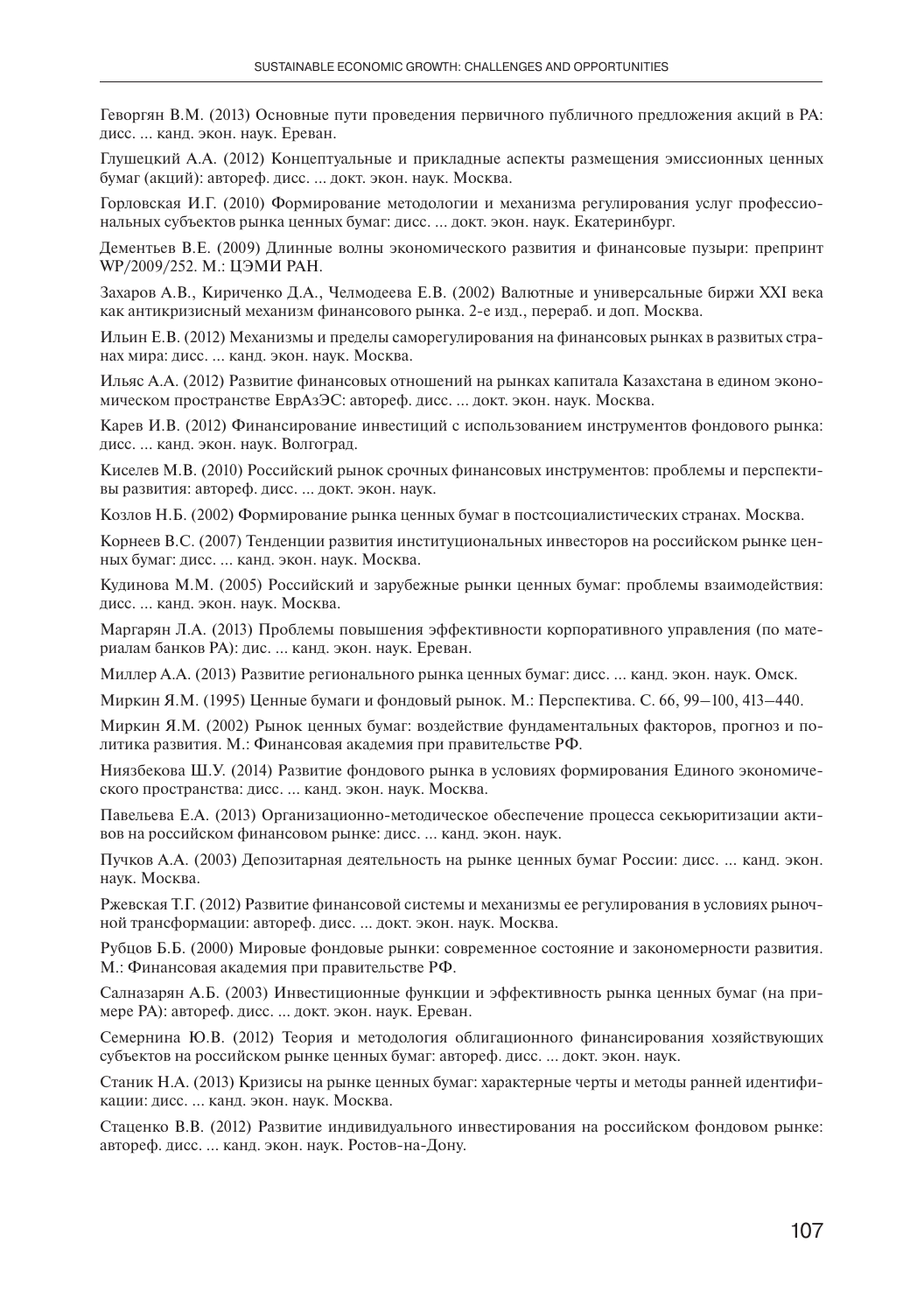Геворгян В.М. (2013) Основные пути проведения первичного публичного предложения акций в РА: дисс. ... канд. экон. наук. Ереван.

Глушецкий А.А. (2012) Концептуальные и прикладные аспекты размещения эмиссионных ценных бумаг (акций): автореф. дисс. ... докт. экон. наук. Москва.

Горловская И.Г. (2010) Формирование методологии и механизма регулирования услуг профессиональных субъектов рынка ценных бумаг: дисс. ... докт. экон. наук. Екатеринбург.

Дементьев В.Е. (2009) Длинные волны экономического развития и финансовые пузыри: препринт WP/2009/252. М.: ЦЭМИ РАН.

Захаров А.В., Кириченко Д.А., Челмодеева Е.В. (2002) Валютные и универсальные биржи XXI века как антикризисный механизм финансового рынка. 2-е изд., перераб. и доп. Москва.

Ильин Е.В. (2012) Механизмы и пределы саморегулирования на финансовых рынках в развитых странах мира: дисс. ... канд. экон. наук. Москва.

Ильяс А.А. (2012) Развитие финансовых отношений на рынках капитала Казахстана в едином экономическом пространстве ЕврАзЭС: автореф. дисс. ... докт. экон. наук. Москва.

Карев И.В. (2012) Финансирование инвестиций с использованием инструментов фондового рынка: дисс. ... канд. экон. наук. Волгоград.

Киселев М.В. (2010) Российский рынок срочных финансовых инструментов: проблемы и перспективы развития: автореф. дисс. ... докт. экон. наук.

Козлов Н.Б. (2002) Формирование рынка ценных бумаг в постсоциалистических странах. Москва.

Корнеев В.С. (2007) Тенденции развития институциональных инвесторов на российском рынке ценных бумаг: дисс. ... канд. экон. наук. Москва.

Кудинова М.М. (2005) Российский и зарубежные рынки ценных бумаг: проблемы взаимодействия: дисс. ... канд. экон. наук. Москва.

Маргарян Л.А. (2013) Проблемы повышения эффективности корпоративного управления (по материалам банков РА): дис. ... канд. экон. наук. Ереван.

Миллер А.А. (2013) Развитие регионального рынка ценных бумаг: дисс. ... канд. экон. наук. Омск.

Миркин Я.М. (1995) Ценные бумаги и фондовый рынок. М.: Перспектива. С. 66, 99–100, 413–440.

Миркин Я.М. (2002) Рынок ценных бумаг: воздействие фундаментальных факторов, прогноз и политика развития. М.: Финансовая академия при правительстве РФ.

Ниязбекова Ш.У. (2014) Развитие фондового рынка в условиях формирования Единого экономического пространства: дисс. ... канд. экон. наук. Москва.

Павельева Е.А. (2013) Организационно-методическое обеспечение процесса секьюритизации активов на российском финансовом рынке: дисс. ... канд. экон. наук.

Пучков А.А. (2003) Депозитарная деятельность на рынке ценных бумаг России: дисс. ... канд. экон. наук. Москва.

Ржевская Т.Г. (2012) Развитие финансовой системы и механизмы ее регулирования в условиях рыночной трансформации: автореф. дисс. ... докт. экон. наук. Москва.

Рубцов Б.Б. (2000) Мировые фондовые рынки: современное состояние и закономерности развития. М.: Финансовая академия при правительстве РФ.

Салназарян А.Б. (2003) Инвестиционные функции и эффективность рынка ценных бумаг (на примере РА): автореф. дисс. ... докт. экон. наук. Ереван.

Семернина Ю.В. (2012) Теория и методология облигационного финансирования хозяйствующих субъектов на российском рынке ценных бумаг: автореф. дисс. ... докт. экон. наук.

Станик Н.А. (2013) Кризисы на рынке ценных бумаг: характерные черты и методы ранней идентификации: дисс. ... канд. экон. наук. Москва.

Стаценко В.В. (2012) Развитие индивидуального инвестирования на российском фондовом рынке: автореф. дисс. ... канд. экон. наук. Ростов-на-Дону.